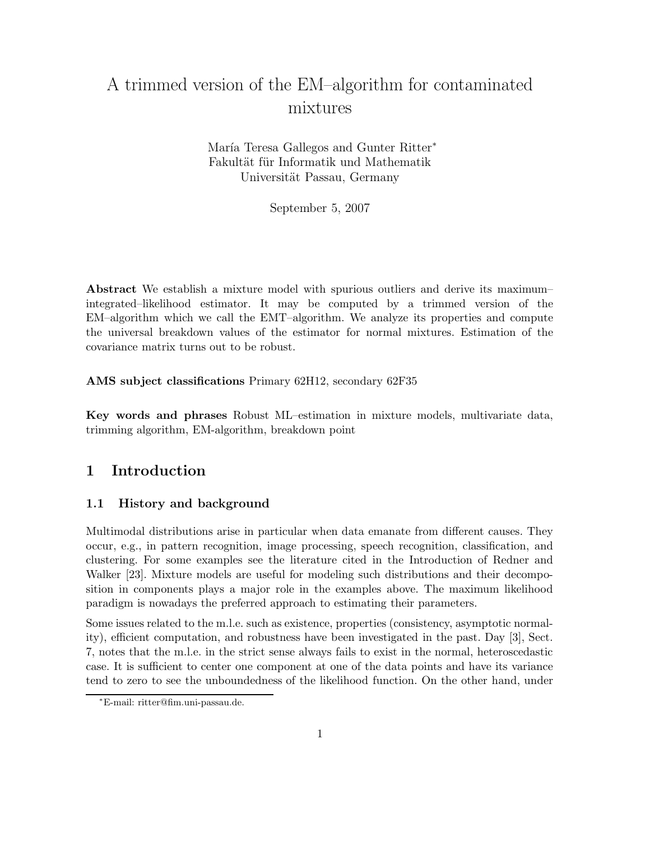# A trimmed version of the EM–algorithm for contaminated mixtures

María Teresa Gallegos and Gunter Ritter<sup>\*</sup> Fakultät für Informatik und Mathematik Universität Passau, Germany

September 5, 2007

Abstract We establish a mixture model with spurious outliers and derive its maximum– integrated–likelihood estimator. It may be computed by a trimmed version of the EM–algorithm which we call the EMT–algorithm. We analyze its properties and compute the universal breakdown values of the estimator for normal mixtures. Estimation of the covariance matrix turns out to be robust.

AMS subject classifications Primary 62H12, secondary 62F35

Key words and phrases Robust ML–estimation in mixture models, multivariate data, trimming algorithm, EM-algorithm, breakdown point

# 1 Introduction

# 1.1 History and background

Multimodal distributions arise in particular when data emanate from different causes. They occur, e.g., in pattern recognition, image processing, speech recognition, classification, and clustering. For some examples see the literature cited in the Introduction of Redner and Walker [23]. Mixture models are useful for modeling such distributions and their decomposition in components plays a major role in the examples above. The maximum likelihood paradigm is nowadays the preferred approach to estimating their parameters.

Some issues related to the m.l.e. such as existence, properties (consistency, asymptotic normality), efficient computation, and robustness have been investigated in the past. Day [3], Sect. 7, notes that the m.l.e. in the strict sense always fails to exist in the normal, heteroscedastic case. It is sufficient to center one component at one of the data points and have its variance tend to zero to see the unboundedness of the likelihood function. On the other hand, under

<sup>∗</sup>E-mail: ritter@fim.uni-passau.de.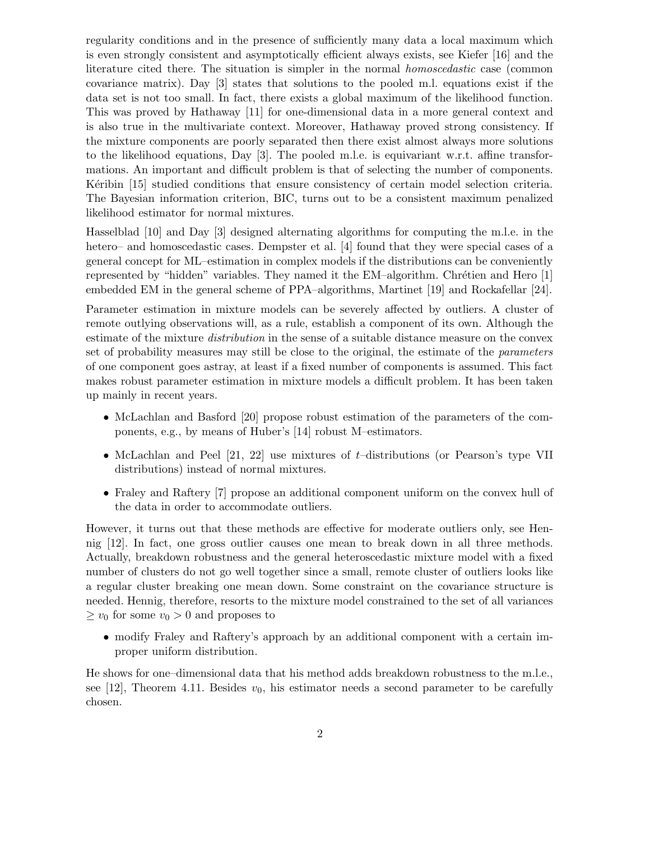regularity conditions and in the presence of sufficiently many data a local maximum which is even strongly consistent and asymptotically efficient always exists, see Kiefer [16] and the literature cited there. The situation is simpler in the normal homoscedastic case (common covariance matrix). Day [3] states that solutions to the pooled m.l. equations exist if the data set is not too small. In fact, there exists a global maximum of the likelihood function. This was proved by Hathaway [11] for one-dimensional data in a more general context and is also true in the multivariate context. Moreover, Hathaway proved strong consistency. If the mixture components are poorly separated then there exist almost always more solutions to the likelihood equations, Day [3]. The pooled m.l.e. is equivariant w.r.t. affine transformations. An important and difficult problem is that of selecting the number of components. Ket ibin [15] studied conditions that ensure consistency of certain model selection criteria. The Bayesian information criterion, BIC, turns out to be a consistent maximum penalized likelihood estimator for normal mixtures.

Hasselblad [10] and Day [3] designed alternating algorithms for computing the m.l.e. in the hetero– and homoscedastic cases. Dempster et al. [4] found that they were special cases of a general concept for ML–estimation in complex models if the distributions can be conveniently represented by "hidden" variables. They named it the EM–algorithm. Chrétien and Hero [1] embedded EM in the general scheme of PPA–algorithms, Martinet [19] and Rockafellar [24].

Parameter estimation in mixture models can be severely affected by outliers. A cluster of remote outlying observations will, as a rule, establish a component of its own. Although the estimate of the mixture *distribution* in the sense of a suitable distance measure on the convex set of probability measures may still be close to the original, the estimate of the parameters of one component goes astray, at least if a fixed number of components is assumed. This fact makes robust parameter estimation in mixture models a difficult problem. It has been taken up mainly in recent years.

- McLachlan and Basford [20] propose robust estimation of the parameters of the components, e.g., by means of Huber's [14] robust M–estimators.
- McLachlan and Peel  $[21, 22]$  use mixtures of t-distributions (or Pearson's type VII distributions) instead of normal mixtures.
- Fraley and Raftery [7] propose an additional component uniform on the convex hull of the data in order to accommodate outliers.

However, it turns out that these methods are effective for moderate outliers only, see Hennig [12]. In fact, one gross outlier causes one mean to break down in all three methods. Actually, breakdown robustness and the general heteroscedastic mixture model with a fixed number of clusters do not go well together since a small, remote cluster of outliers looks like a regular cluster breaking one mean down. Some constraint on the covariance structure is needed. Hennig, therefore, resorts to the mixture model constrained to the set of all variances  $\geq v_0$  for some  $v_0 > 0$  and proposes to

• modify Fraley and Raftery's approach by an additional component with a certain improper uniform distribution.

He shows for one–dimensional data that his method adds breakdown robustness to the m.l.e., see [12], Theorem 4.11. Besides  $v_0$ , his estimator needs a second parameter to be carefully chosen.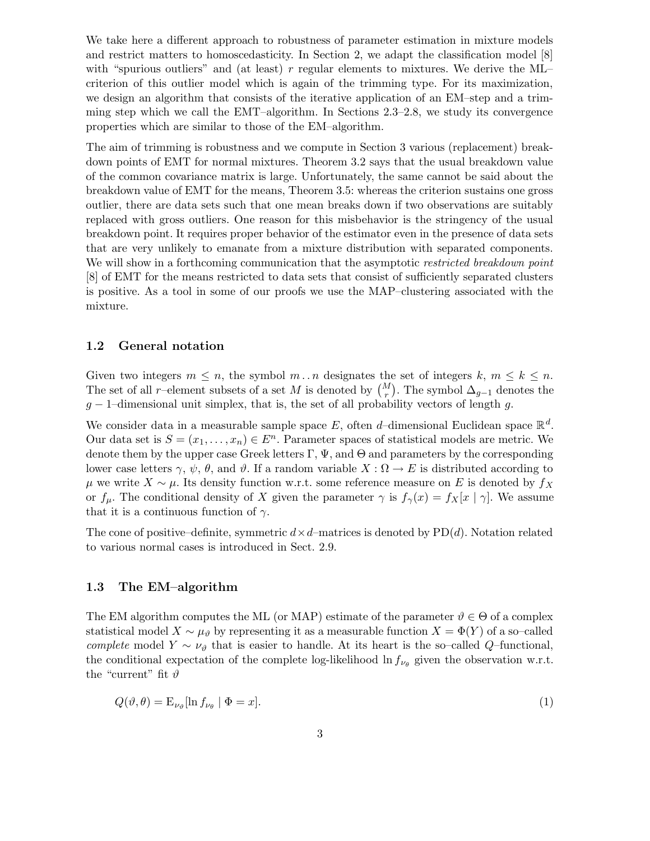We take here a different approach to robustness of parameter estimation in mixture models and restrict matters to homoscedasticity. In Section 2, we adapt the classification model [8] with "spurious outliers" and (at least)  $r$  regular elements to mixtures. We derive the ML– criterion of this outlier model which is again of the trimming type. For its maximization, we design an algorithm that consists of the iterative application of an EM–step and a trimming step which we call the EMT–algorithm. In Sections 2.3–2.8, we study its convergence properties which are similar to those of the EM–algorithm.

The aim of trimming is robustness and we compute in Section 3 various (replacement) breakdown points of EMT for normal mixtures. Theorem 3.2 says that the usual breakdown value of the common covariance matrix is large. Unfortunately, the same cannot be said about the breakdown value of EMT for the means, Theorem 3.5: whereas the criterion sustains one gross outlier, there are data sets such that one mean breaks down if two observations are suitably replaced with gross outliers. One reason for this misbehavior is the stringency of the usual breakdown point. It requires proper behavior of the estimator even in the presence of data sets that are very unlikely to emanate from a mixture distribution with separated components. We will show in a forthcoming communication that the asymptotic restricted breakdown point [8] of EMT for the means restricted to data sets that consist of sufficiently separated clusters is positive. As a tool in some of our proofs we use the MAP–clustering associated with the mixture.

#### 1.2 General notation

Given two integers  $m \leq n$ , the symbol  $m \dots n$  designates the set of integers  $k, m \leq k \leq n$ . The set of all r–element subsets of a set M is denoted by  $\binom{M}{r}$ . The symbol  $\Delta_{g-1}$  denotes the  $g - 1$ –dimensional unit simplex, that is, the set of all probability vectors of length g.

We consider data in a measurable sample space E, often d-dimensional Euclidean space  $\mathbb{R}^d$ . Our data set is  $S = (x_1, \ldots, x_n) \in E^n$ . Parameter spaces of statistical models are metric. We denote them by the upper case Greek letters  $\Gamma$ ,  $\Psi$ , and  $\Theta$  and parameters by the corresponding lower case letters  $\gamma$ ,  $\psi$ ,  $\theta$ , and  $\vartheta$ . If a random variable  $X : \Omega \to E$  is distributed according to  $\mu$  we write  $X \sim \mu$ . Its density function w.r.t. some reference measure on E is denoted by  $f_X$ or  $f_{\mu}$ . The conditional density of X given the parameter  $\gamma$  is  $f_{\gamma}(x) = f_{X}[x \mid \gamma]$ . We assume that it is a continuous function of  $\gamma$ .

The cone of positive–definite, symmetric  $d \times d$ –matrices is denoted by PD(d). Notation related to various normal cases is introduced in Sect. 2.9.

#### 1.3 The EM–algorithm

The EM algorithm computes the ML (or MAP) estimate of the parameter  $\vartheta \in \Theta$  of a complex statistical model  $X \sim \mu_{\theta}$  by representing it as a measurable function  $X = \Phi(Y)$  of a so–called complete model Y  $\sim \nu_{\vartheta}$  that is easier to handle. At its heart is the so–called Q–functional, the conditional expectation of the complete log-likelihood  $\ln f_{\nu_{\theta}}$  given the observation w.r.t. the "current" fit  $\vartheta$ 

$$
Q(\vartheta, \theta) = \mathcal{E}_{\nu_{\vartheta}}[\ln f_{\nu_{\theta}} \mid \Phi = x]. \tag{1}
$$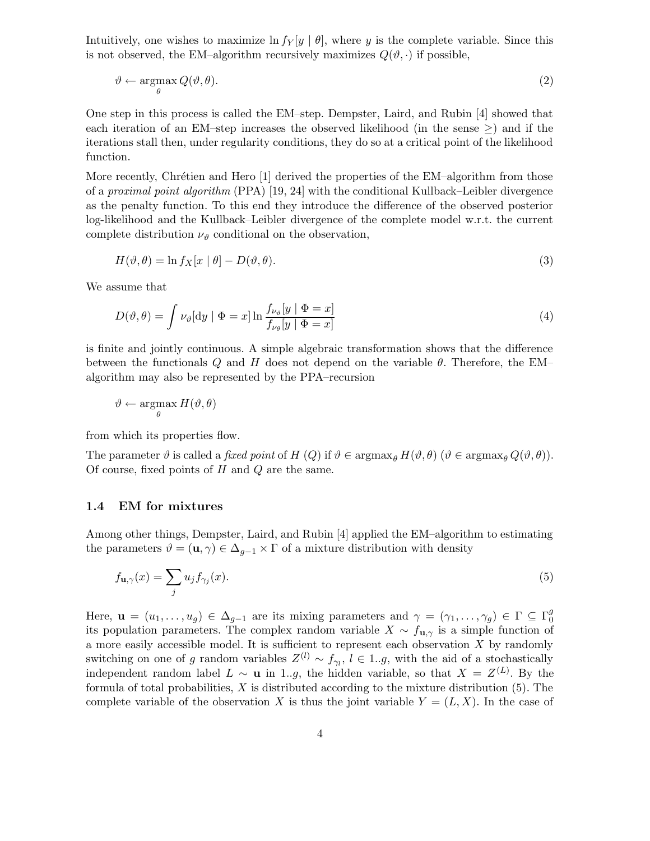Intuitively, one wishes to maximize  $\ln f_Y[y \mid \theta]$ , where y is the complete variable. Since this is not observed, the EM–algorithm recursively maximizes  $Q(\vartheta, \cdot)$  if possible,

$$
\vartheta \leftarrow \underset{\theta}{\operatorname{argmax}} Q(\vartheta, \theta). \tag{2}
$$

One step in this process is called the EM–step. Dempster, Laird, and Rubin [4] showed that each iteration of an EM–step increases the observed likelihood (in the sense  $\geq$ ) and if the iterations stall then, under regularity conditions, they do so at a critical point of the likelihood function.

More recently, Chrétien and Hero [1] derived the properties of the EM-algorithm from those of a proximal point algorithm (PPA) [19, 24] with the conditional Kullback–Leibler divergence as the penalty function. To this end they introduce the difference of the observed posterior log-likelihood and the Kullback–Leibler divergence of the complete model w.r.t. the current complete distribution  $\nu_{\vartheta}$  conditional on the observation,

$$
H(\vartheta, \theta) = \ln f_X[x \mid \theta] - D(\vartheta, \theta). \tag{3}
$$

We assume that

$$
D(\vartheta, \theta) = \int \nu_{\vartheta} \left[ dy \mid \Phi = x \right] \ln \frac{f_{\nu_{\vartheta}}[y \mid \Phi = x]}{f_{\nu_{\theta}}[y \mid \Phi = x]}
$$
(4)

is finite and jointly continuous. A simple algebraic transformation shows that the difference between the functionals Q and H does not depend on the variable  $\theta$ . Therefore, the EM– algorithm may also be represented by the PPA–recursion

$$
\vartheta \leftarrow \operatornamewithlimits{argmax}_\theta H(\vartheta, \theta)
$$

from which its properties flow.

The parameter  $\vartheta$  is called a *fixed point* of  $H(Q)$  if  $\vartheta \in \operatorname{argmax}_{\theta} H(\vartheta, \theta)$  ( $\vartheta \in \operatorname{argmax}_{\theta} Q(\vartheta, \theta)$ ). Of course, fixed points of  $H$  and  $Q$  are the same.

#### 1.4 EM for mixtures

Among other things, Dempster, Laird, and Rubin [4] applied the EM–algorithm to estimating the parameters  $\vartheta = (\mathbf{u}, \gamma) \in \Delta_{g-1} \times \Gamma$  of a mixture distribution with density

$$
f_{\mathbf{u},\gamma}(x) = \sum_{j} u_j f_{\gamma_j}(x). \tag{5}
$$

Here,  $\mathbf{u} = (u_1, \dots, u_g) \in \Delta_{g-1}$  are its mixing parameters and  $\gamma = (\gamma_1, \dots, \gamma_g) \in \Gamma \subseteq \Gamma_0^g$ 0 its population parameters. The complex random variable  $X \sim f_{\mathbf{u}, \gamma}$  is a simple function of a more easily accessible model. It is sufficient to represent each observation  $X$  by randomly switching on one of g random variables  $Z^{(l)} \sim f_{\gamma_l}$ ,  $l \in 1..g$ , with the aid of a stochastically independent random label  $L \sim \mathbf{u}$  in 1..g, the hidden variable, so that  $X = Z^{(L)}$ . By the formula of total probabilities,  $X$  is distributed according to the mixture distribution  $(5)$ . The complete variable of the observation X is thus the joint variable  $Y = (L, X)$ . In the case of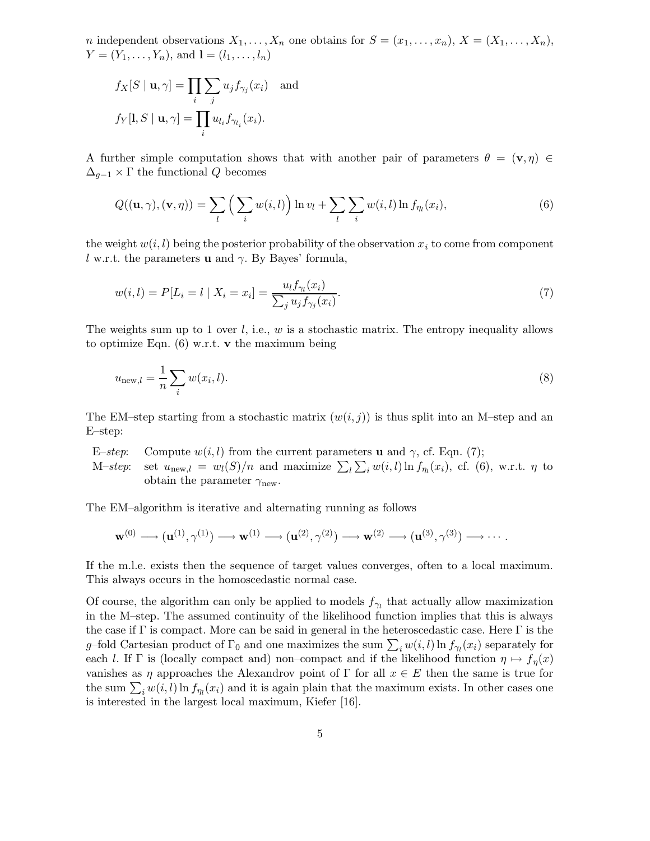*n* independent observations  $X_1, \ldots, X_n$  one obtains for  $S = (x_1, \ldots, x_n)$ ,  $X = (X_1, \ldots, X_n)$ ,  $Y = (Y_1, \ldots, Y_n)$ , and  $\mathbf{l} = (l_1, \ldots, l_n)$ 

$$
f_X[S \mid \mathbf{u}, \gamma] = \prod_i \sum_j u_j f_{\gamma_j}(x_i) \text{ and}
$$

$$
f_Y[\mathbf{l}, S \mid \mathbf{u}, \gamma] = \prod_i u_{l_i} f_{\gamma_{l_i}}(x_i).
$$

A further simple computation shows that with another pair of parameters  $\theta = (\mathbf{v}, \eta) \in$  $\Delta_{q-1} \times \Gamma$  the functional Q becomes

$$
Q((\mathbf{u},\gamma),(\mathbf{v},\eta)) = \sum_{l} \left( \sum_{i} w(i,l) \right) \ln v_l + \sum_{l} \sum_{i} w(i,l) \ln f_{\eta_l}(x_i), \tag{6}
$$

the weight  $w(i, l)$  being the posterior probability of the observation  $x_i$  to come from component l w.r.t. the parameters **u** and  $\gamma$ . By Bayes' formula,

$$
w(i,l) = P[L_i = l \mid X_i = x_i] = \frac{u_l f_{\gamma_l}(x_i)}{\sum_j u_j f_{\gamma_j}(x_i)}.
$$
\n(7)

The weights sum up to 1 over  $l$ , i.e.,  $w$  is a stochastic matrix. The entropy inequality allows to optimize Eqn.  $(6)$  w.r.t. v the maximum being

$$
u_{\text{new},l} = \frac{1}{n} \sum_{i} w(x_i, l). \tag{8}
$$

The EM–step starting from a stochastic matrix  $(w(i, j))$  is thus split into an M–step and an E–step:

E–step: Compute  $w(i, l)$  from the current parameters **u** and  $\gamma$ , cf. Eqn. (7); M-step: set  $u_{\text{new},l} = w_l(S)/n$  and maximize  $\sum_l \sum_i w(i, l) \ln f_{\eta_l}(x_i)$ , cf. (6), w.r.t.  $\eta$  to obtain the parameter  $\gamma_{\text{new}}$ .

The EM–algorithm is iterative and alternating running as follows

$$
\mathbf{w}^{(0)} \longrightarrow (\mathbf{u}^{(1)}, \gamma^{(1)}) \longrightarrow \mathbf{w}^{(1)} \longrightarrow (\mathbf{u}^{(2)}, \gamma^{(2)}) \longrightarrow \mathbf{w}^{(2)} \longrightarrow (\mathbf{u}^{(3)}, \gamma^{(3)}) \longrightarrow \cdots.
$$

If the m.l.e. exists then the sequence of target values converges, often to a local maximum. This always occurs in the homoscedastic normal case.

Of course, the algorithm can only be applied to models  $f_{\gamma_l}$  that actually allow maximization in the M–step. The assumed continuity of the likelihood function implies that this is always the case if  $\Gamma$  is compact. More can be said in general in the heteroscedastic case. Here  $\Gamma$  is the g–fold Cartesian product of  $\Gamma_0$  and one maximizes the sum  $\sum_i w(i, l) \ln f_{\gamma_l}(x_i)$  separately for each l. If Γ is (locally compact and) non–compact and if the likelihood function  $\eta \mapsto f_{\eta}(x)$ vanishes as  $\eta$  approaches the Alexandrov point of  $\Gamma$  for all  $x \in E$  then the same is true for the sum  $\sum_i w(i, l) \ln f_{\eta_l}(x_i)$  and it is again plain that the maximum exists. In other cases one is interested in the largest local maximum, Kiefer [16].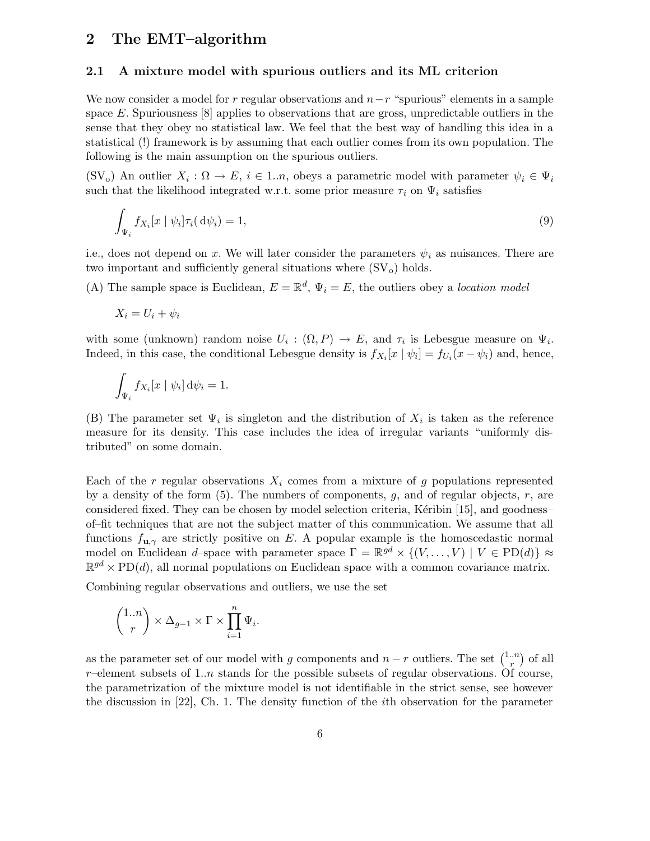# 2 The EMT–algorithm

#### 2.1 A mixture model with spurious outliers and its ML criterion

We now consider a model for r regular observations and  $n-r$  "spurious" elements in a sample space E. Spuriousness  $[8]$  applies to observations that are gross, unpredictable outliers in the sense that they obey no statistical law. We feel that the best way of handling this idea in a statistical (!) framework is by assuming that each outlier comes from its own population. The following is the main assumption on the spurious outliers.

(SV<sub>o</sub>) An outlier  $X_i : \Omega \to E$ ,  $i \in 1..n$ , obeys a parametric model with parameter  $\psi_i \in \Psi_i$ such that the likelihood integrated w.r.t. some prior measure  $\tau_i$  on  $\Psi_i$  satisfies

$$
\int_{\Psi_i} f_{X_i}[x \mid \psi_i] \tau_i(\mathrm{d}\psi_i) = 1,\tag{9}
$$

i.e., does not depend on x. We will later consider the parameters  $\psi_i$  as nuisances. There are two important and sufficiently general situations where  $(SV<sub>o</sub>)$  holds.

(A) The sample space is Euclidean,  $E = \mathbb{R}^d$ ,  $\Psi_i = E$ , the outliers obey a location model

$$
X_i = U_i + \psi_i
$$

with some (unknown) random noise  $U_i : (\Omega, P) \to E$ , and  $\tau_i$  is Lebesgue measure on  $\Psi_i$ . Indeed, in this case, the conditional Lebesgue density is  $f_{X_i}[x | \psi_i] = f_{U_i}(x - \psi_i)$  and, hence,

$$
\int_{\Psi_i} f_{X_i}[x \mid \psi_i] \, \mathrm{d}\psi_i = 1.
$$

(B) The parameter set  $\Psi_i$  is singleton and the distribution of  $X_i$  is taken as the reference measure for its density. This case includes the idea of irregular variants "uniformly distributed" on some domain.

Each of the r regular observations  $X_i$  comes from a mixture of g populations represented by a density of the form  $(5)$ . The numbers of components, g, and of regular objects, r, are considered fixed. They can be chosen by model selection criteria, Kéribin [15], and goodness– of–fit techniques that are not the subject matter of this communication. We assume that all functions  $f_{\mathbf{u},\gamma}$  are strictly positive on E. A popular example is the homoscedastic normal model on Euclidean d–space with parameter space  $\Gamma = \mathbb{R}^{gd} \times \{(V, \dots, V) \mid V \in \text{PD}(d)\} \approx$  $\mathbb{R}^{gd} \times \text{PD}(d)$ , all normal populations on Euclidean space with a common covariance matrix.

Combining regular observations and outliers, we use the set

$$
\binom{1..n}{r}\times\Delta_{g-1}\times\Gamma\times\prod_{i=1}^n\Psi_i.
$$

as the parameter set of our model with g components and  $n-r$  outliers. The set  $\binom{1..n}{r}$  $\binom{n}{r}$  of all r–element subsets of 1..*n* stands for the possible subsets of regular observations. Of course, the parametrization of the mixture model is not identifiable in the strict sense, see however the discussion in [22], Ch. 1. The density function of the ith observation for the parameter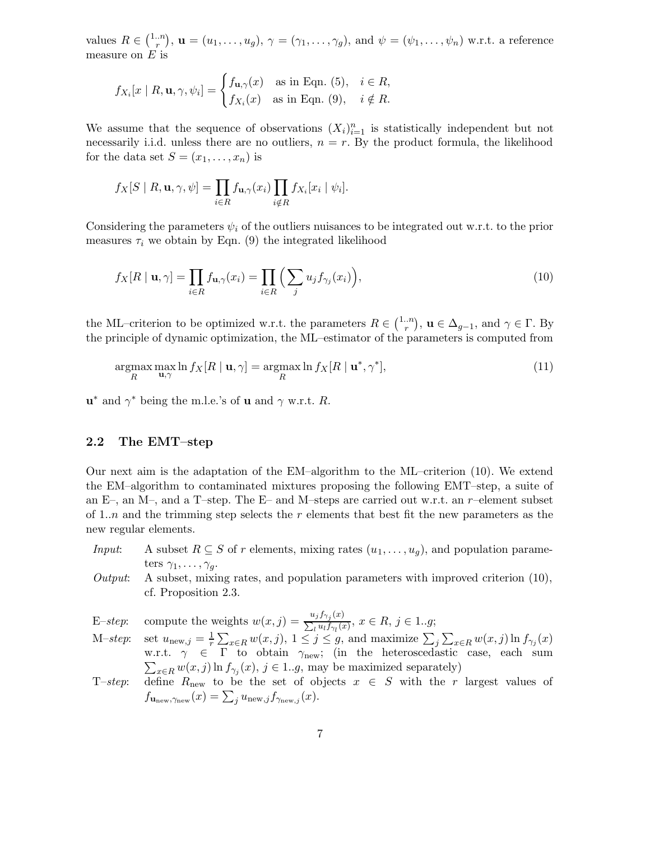values  $R \in \binom{1..n}{r}$  $(n_r^{n_r}), \mathbf{u}=(u_1,\ldots,u_g), \gamma=(\gamma_1,\ldots,\gamma_g),$  and  $\psi=(\psi_1,\ldots,\psi_n)$  w.r.t. a reference measure on  $E$  is

$$
f_{X_i}[x \mid R, \mathbf{u}, \gamma, \psi_i] = \begin{cases} f_{\mathbf{u}, \gamma}(x) & \text{as in Eqn. (5),} \quad i \in R, \\ f_{X_i}(x) & \text{as in Eqn. (9),} \quad i \notin R. \end{cases}
$$

We assume that the sequence of observations  $(X_i)_{i=1}^n$  is statistically independent but not necessarily i.i.d. unless there are no outliers,  $n = r$ . By the product formula, the likelihood for the data set  $S = (x_1, \ldots, x_n)$  is

$$
f_X[S \mid R, \mathbf{u}, \gamma, \psi] = \prod_{i \in R} f_{\mathbf{u}, \gamma}(x_i) \prod_{i \notin R} f_{X_i}[x_i \mid \psi_i].
$$

Considering the parameters  $\psi_i$  of the outliers nuisances to be integrated out w.r.t. to the prior measures  $\tau_i$  we obtain by Eqn. (9) the integrated likelihood

$$
f_X[R \mid \mathbf{u}, \gamma] = \prod_{i \in R} f_{\mathbf{u}, \gamma}(x_i) = \prod_{i \in R} \left( \sum_j u_j f_{\gamma_j}(x_i) \right),\tag{10}
$$

the ML–criterion to be optimized w.r.t. the parameters  $R \in \binom{1..n}{r}$  $\binom{n}{r}$ ,  $\mathbf{u} \in \Delta_{g-1}$ , and  $\gamma \in \Gamma$ . By the principle of dynamic optimization, the ML–estimator of the parameters is computed from

$$
\underset{R}{\operatorname{argmax}} \max_{\mathbf{u}, \gamma} \ln f_X[R \mid \mathbf{u}, \gamma] = \underset{R}{\operatorname{argmax}} \ln f_X[R \mid \mathbf{u}^*, \gamma^*],\tag{11}
$$

 $\mathbf{u}^*$  and  $\gamma^*$  being the m.l.e.'s of **u** and  $\gamma$  w.r.t. R.

#### 2.2 The EMT–step

Our next aim is the adaptation of the EM–algorithm to the ML–criterion (10). We extend the EM–algorithm to contaminated mixtures proposing the following EMT–step, a suite of an E–, an M–, and a T–step. The E– and M–steps are carried out w.r.t. an  $r$ –element subset of 1..*n* and the trimming step selects the r elements that best fit the new parameters as the new regular elements.

- *Input*: A subset  $R \subseteq S$  of r elements, mixing rates  $(u_1, \ldots, u_g)$ , and population parameters  $\gamma_1, \ldots, \gamma_g$ .
- Output: A subset, mixing rates, and population parameters with improved criterion  $(10)$ , cf. Proposition 2.3.
- E–step: compute the weights  $w(x, j) = \frac{u_j f_{\gamma_j}(x)}{\sum_{y} u_j f_{\gamma_j}(x)}$  $\frac{w_j y_{j'j'}(x)}{\sum_l u_l f_{\gamma_l}(x)}, x \in R, j \in 1..g;$
- M-step: set  $u_{\text{new},j} = \frac{1}{r} \sum_{x \in R} w(x,j), 1 \leq j \leq g$ , and maximize  $\sum_{j} \sum_{x \in R} w(x,j) \ln f_{\gamma_j}(x)$  $\sum_{x \in R} w(x, j) \ln f_{\gamma_j}(x), j \in 1..g$ , may be maximized separately) w.r.t.  $\gamma \in \Gamma$  to obtain  $\gamma_{\text{new}}$ ; (in the heteroscedastic case, each sum
- T–step: define  $R_{\text{new}}$  to be the set of objects  $x \in S$  with the r largest values of  $f_{\mathbf{u}_{\text{new}},\gamma_{\text{new}}}(x) = \sum_{j} u_{\text{new},j} f_{\gamma_{\text{new},j}}(x).$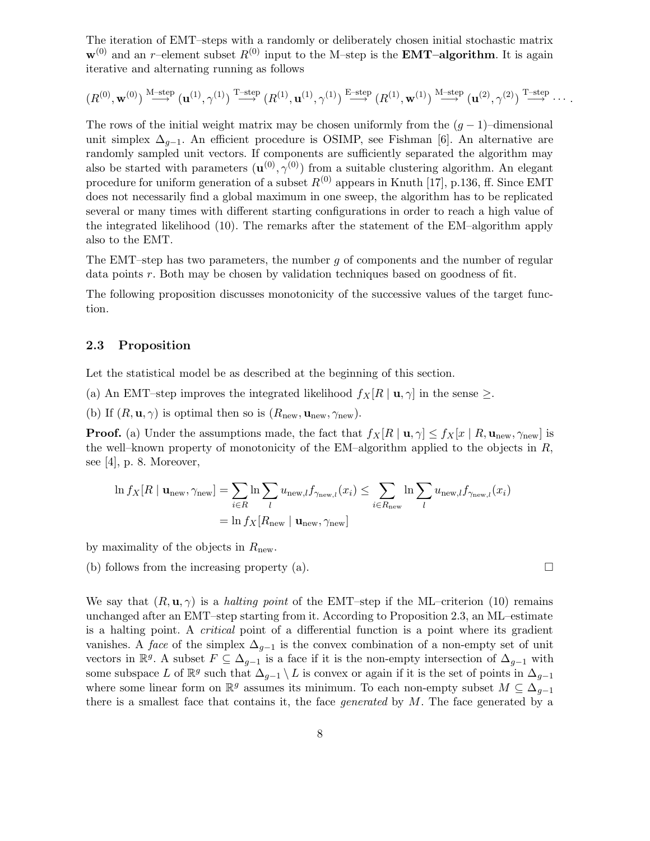The iteration of EMT–steps with a randomly or deliberately chosen initial stochastic matrix  $\mathbf{w}^{(0)}$  and an r–element subset  $R^{(0)}$  input to the M–step is the **EMT–algorithm**. It is again iterative and alternating running as follows

$$
(R^{(0)},\mathbf{w}^{(0)})\overset{\mathrm{M-step}}{\longrightarrow}(\mathbf{u}^{(1)},\gamma^{(1)})\overset{\mathrm{T-step}}{\longrightarrow}(R^{(1)},\mathbf{u}^{(1)},\gamma^{(1)})\overset{\mathrm{E-step}}{\longrightarrow}(R^{(1)},\mathbf{w}^{(1)})\overset{\mathrm{M-step}}{\longrightarrow}(\mathbf{u}^{(2)},\gamma^{(2)})\overset{\mathrm{T-step}}{\longrightarrow}\cdots.
$$

The rows of the initial weight matrix may be chosen uniformly from the  $(g-1)$ –dimensional unit simplex  $\Delta_{q-1}$ . An efficient procedure is OSIMP, see Fishman [6]. An alternative are randomly sampled unit vectors. If components are sufficiently separated the algorithm may also be started with parameters  $(\mathbf{u}^{(0)}, \gamma^{(0)})$  from a suitable clustering algorithm. An elegant procedure for uniform generation of a subset  $R^{(0)}$  appears in Knuth [17], p.136, ff. Since EMT does not necessarily find a global maximum in one sweep, the algorithm has to be replicated several or many times with different starting configurations in order to reach a high value of the integrated likelihood (10). The remarks after the statement of the EM–algorithm apply also to the EMT.

The EMT–step has two parameters, the number q of components and the number of regular data points r. Both may be chosen by validation techniques based on goodness of fit.

The following proposition discusses monotonicity of the successive values of the target function.

#### 2.3 Proposition

Let the statistical model be as described at the beginning of this section.

- (a) An EMT–step improves the integrated likelihood  $f_X[R | u, \gamma]$  in the sense  $\geq$ .
- (b) If  $(R, \mathbf{u}, \gamma)$  is optimal then so is  $(R_{\text{new}}, \mathbf{u}_{\text{new}}, \gamma_{\text{new}})$ .

**Proof.** (a) Under the assumptions made, the fact that  $f_X[R | \mathbf{u}, \gamma] \leq f_X[x | R, \mathbf{u}_{\text{new}}, \gamma_{\text{new}}]$  is the well–known property of monotonicity of the EM–algorithm applied to the objects in  $R$ , see [4], p. 8. Moreover,

$$
\ln f_X[R \mid \mathbf{u}_{\text{new}}, \gamma_{\text{new}}] = \sum_{i \in R} \ln \sum_l u_{\text{new},l} f_{\gamma_{\text{new},l}}(x_i) \le \sum_{i \in R_{\text{new}}} \ln \sum_l u_{\text{new},l} f_{\gamma_{\text{new},l}}(x_i)
$$

$$
= \ln f_X[R_{\text{new}} \mid \mathbf{u}_{\text{new}}, \gamma_{\text{new}}]
$$

by maximality of the objects in  $R_{\text{new}}$ .

(b) follows from the increasing property (a).  $\Box$ 

We say that  $(R, \mathbf{u}, \gamma)$  is a halting point of the EMT–step if the ML–criterion (10) remains unchanged after an EMT–step starting from it. According to Proposition 2.3, an ML–estimate is a halting point. A critical point of a differential function is a point where its gradient vanishes. A face of the simplex  $\Delta_{q-1}$  is the convex combination of a non-empty set of unit vectors in  $\mathbb{R}^g$ . A subset  $F \subseteq \Delta_{g-1}$  is a face if it is the non-empty intersection of  $\Delta_{g-1}$  with some subspace L of  $\mathbb{R}^g$  such that  $\Delta_{g-1} \setminus L$  is convex or again if it is the set of points in  $\Delta_{g-1}$ where some linear form on  $\mathbb{R}^g$  assumes its minimum. To each non-empty subset  $M \subseteq \Delta_{g-1}$ there is a smallest face that contains it, the face *generated* by  $M$ . The face generated by a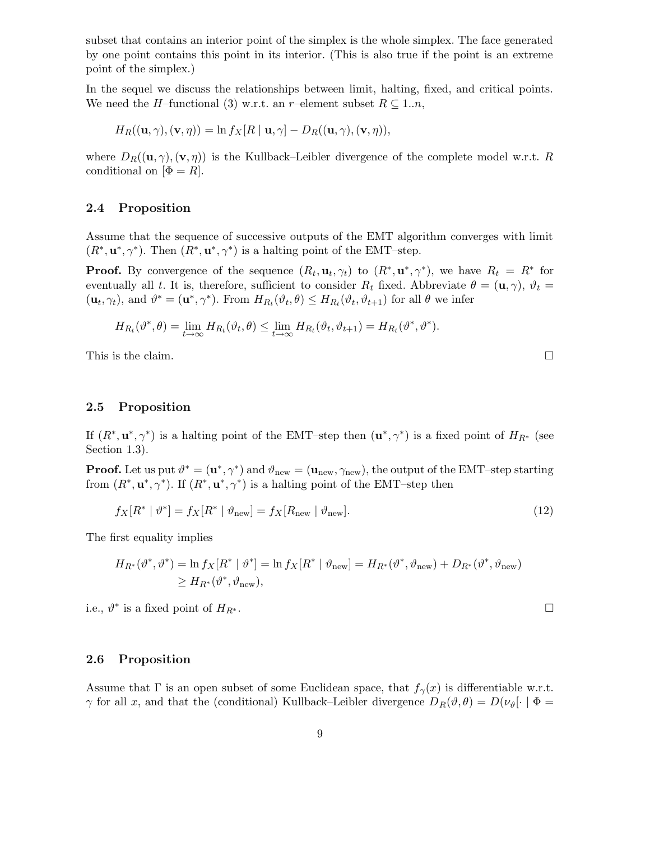subset that contains an interior point of the simplex is the whole simplex. The face generated by one point contains this point in its interior. (This is also true if the point is an extreme point of the simplex.)

In the sequel we discuss the relationships between limit, halting, fixed, and critical points. We need the *H*–functional (3) w.r.t. an r–element subset  $R \subseteq 1..n$ ,

$$
H_R((\mathbf{u},\gamma),(\mathbf{v},\eta)) = \ln f_X[R \mid \mathbf{u},\gamma] - D_R((\mathbf{u},\gamma),(\mathbf{v},\eta)),
$$

where  $D_R((\mathbf{u}, \gamma), (\mathbf{v}, \eta))$  is the Kullback–Leibler divergence of the complete model w.r.t. R conditional on  $[\Phi = R]$ .

#### 2.4 Proposition

Assume that the sequence of successive outputs of the EMT algorithm converges with limit  $(R^*, \mathbf{u}^*, \gamma^*)$ . Then  $(R^*, \mathbf{u}^*, \gamma^*)$  is a halting point of the EMT–step.

**Proof.** By convergence of the sequence  $(R_t, \mathbf{u}_t, \gamma_t)$  to  $(R^*, \mathbf{u}^*, \gamma^*)$ , we have  $R_t = R^*$  for eventually all t. It is, therefore, sufficient to consider  $R_t$  fixed. Abbreviate  $\theta = (\mathbf{u}, \gamma)$ ,  $\vartheta_t =$  $(\mathbf{u}_t, \gamma_t)$ , and  $\vartheta^* = (\mathbf{u}^*, \gamma^*)$ . From  $H_{R_t}(\vartheta_t, \theta) \leq H_{R_t}(\vartheta_t, \vartheta_{t+1})$  for all  $\theta$  we infer

$$
H_{R_t}(\vartheta^*,\theta) = \lim_{t \to \infty} H_{R_t}(\vartheta_t,\theta) \le \lim_{t \to \infty} H_{R_t}(\vartheta_t,\vartheta_{t+1}) = H_{R_t}(\vartheta^*,\vartheta^*).
$$

This is the claim.  $\Box$ 

## 2.5 Proposition

If  $(R^*, u^*, \gamma^*)$  is a halting point of the EMT–step then  $(u^*, \gamma^*)$  is a fixed point of  $H_{R^*}$  (see Section 1.3).

**Proof.** Let us put  $\vartheta^* = (\mathbf{u}^*, \gamma^*)$  and  $\vartheta_{\text{new}} = (\mathbf{u}_{\text{new}}, \gamma_{\text{new}})$ , the output of the EMT–step starting from  $(R^*, \mathbf{u}^*, \gamma^*)$ . If  $(R^*, \mathbf{u}^*, \gamma^*)$  is a halting point of the EMT-step then

$$
f_X[R^* | \vartheta^*] = f_X[R^* | \vartheta_{\text{new}}] = f_X[R_{\text{new}} | \vartheta_{\text{new}}].
$$
\n(12)

The first equality implies

$$
H_{R^*}(\vartheta^*, \vartheta^*) = \ln f_X[R^* | \vartheta^*] = \ln f_X[R^* | \vartheta_{\text{new}}] = H_{R^*}(\vartheta^*, \vartheta_{\text{new}}) + D_{R^*}(\vartheta^*, \vartheta_{\text{new}})
$$
  

$$
\geq H_{R^*}(\vartheta^*, \vartheta_{\text{new}}),
$$

i.e.,  $\vartheta^*$  is a fixed point of  $H_{R^*}$ .

## 2.6 Proposition

Assume that  $\Gamma$  is an open subset of some Euclidean space, that  $f_{\gamma}(x)$  is differentiable w.r.t.  $\gamma$  for all x, and that the (conditional) Kullback–Leibler divergence  $D_R(\vartheta,\theta) = D(\nu_{\vartheta}[\cdot | \Phi =$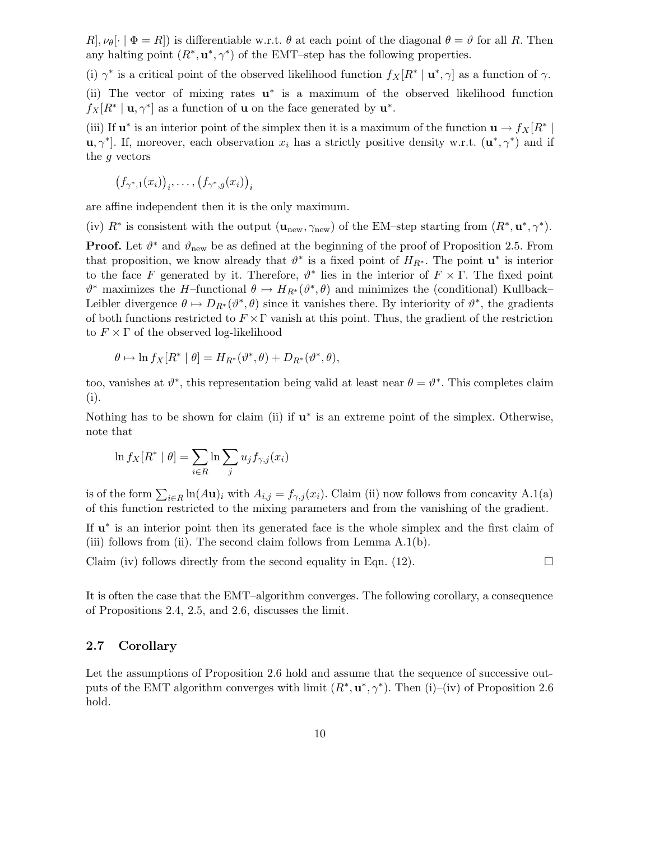$R, \nu_{\theta}[\cdot | \Phi = R]$  is differentiable w.r.t.  $\theta$  at each point of the diagonal  $\theta = \vartheta$  for all R. Then any halting point  $(R^*, \mathbf{u}^*, \gamma^*)$  of the EMT–step has the following properties.

(i)  $\gamma^*$  is a critical point of the observed likelihood function  $f_X[R^* | \mathbf{u}^*, \gamma]$  as a function of  $\gamma$ . (ii) The vector of mixing rates  $\mathbf{u}^*$  is a maximum of the observed likelihood function  $f_X[R^* | \mathbf{u}, \gamma^*]$  as a function of **u** on the face generated by  $\mathbf{u}^*$ .

(iii) If  $\mathbf{u}^*$  is an interior point of the simplex then it is a maximum of the function  $\mathbf{u} \to f_X[R^*]$ **u**,  $\gamma^*$ . If, moreover, each observation  $x_i$  has a strictly positive density w.r.t.  $(\mathbf{u}^*, \gamma^*)$  and if the g vectors

$$
(f_{\gamma^*,1}(x_i))_i,\ldots,(f_{\gamma^*,g}(x_i))_i
$$

are affine independent then it is the only maximum.

(iv)  $R^*$  is consistent with the output  $(\mathbf{u}_{\text{new}}, \gamma_{\text{new}})$  of the EM–step starting from  $(R^*, \mathbf{u}^*, \gamma^*)$ .

**Proof.** Let  $\vartheta^*$  and  $\vartheta_{\text{new}}$  be as defined at the beginning of the proof of Proposition 2.5. From that proposition, we know already that  $\vartheta^*$  is a fixed point of  $H_{R^*}$ . The point  $\mathbf{u}^*$  is interior to the face F generated by it. Therefore,  $\vartheta^*$  lies in the interior of  $F \times \Gamma$ . The fixed point  $\vartheta^*$  maximizes the H-functional  $\theta \mapsto H_{R^*}(\vartheta^*, \theta)$  and minimizes the (conditional) Kullback– Leibler divergence  $\theta \mapsto D_{R^*}(\theta^*,\theta)$  since it vanishes there. By interiority of  $\theta^*$ , the gradients of both functions restricted to  $F \times \Gamma$  vanish at this point. Thus, the gradient of the restriction to  $F \times \Gamma$  of the observed log-likelihood

$$
\theta \mapsto \ln f_X[R^* \mid \theta] = H_{R^*}(\vartheta^*, \theta) + D_{R^*}(\vartheta^*, \theta),
$$

too, vanishes at  $\vartheta^*$ , this representation being valid at least near  $\theta = \vartheta^*$ . This completes claim (i).

Nothing has to be shown for claim (ii) if  $\mathbf{u}^*$  is an extreme point of the simplex. Otherwise, note that

$$
\ln f_X[R^* | \theta] = \sum_{i \in R} \ln \sum_j u_j f_{\gamma, j}(x_i)
$$

is of the form  $\sum_{i\in R} \ln(A\mathbf{u})_i$  with  $A_{i,j} = f_{\gamma,j}(x_i)$ . Claim (ii) now follows from concavity A.1(a) of this function restricted to the mixing parameters and from the vanishing of the gradient.

If  $u^*$  is an interior point then its generated face is the whole simplex and the first claim of (iii) follows from (ii). The second claim follows from Lemma A.1(b).

Claim (iv) follows directly from the second equality in Eqn. (12).  $\Box$ 

It is often the case that the EMT–algorithm converges. The following corollary, a consequence of Propositions 2.4, 2.5, and 2.6, discusses the limit.

## 2.7 Corollary

Let the assumptions of Proposition 2.6 hold and assume that the sequence of successive outputs of the EMT algorithm converges with limit  $(R^*, \mathbf{u}^*, \gamma^*)$ . Then (i)–(iv) of Proposition 2.6 hold.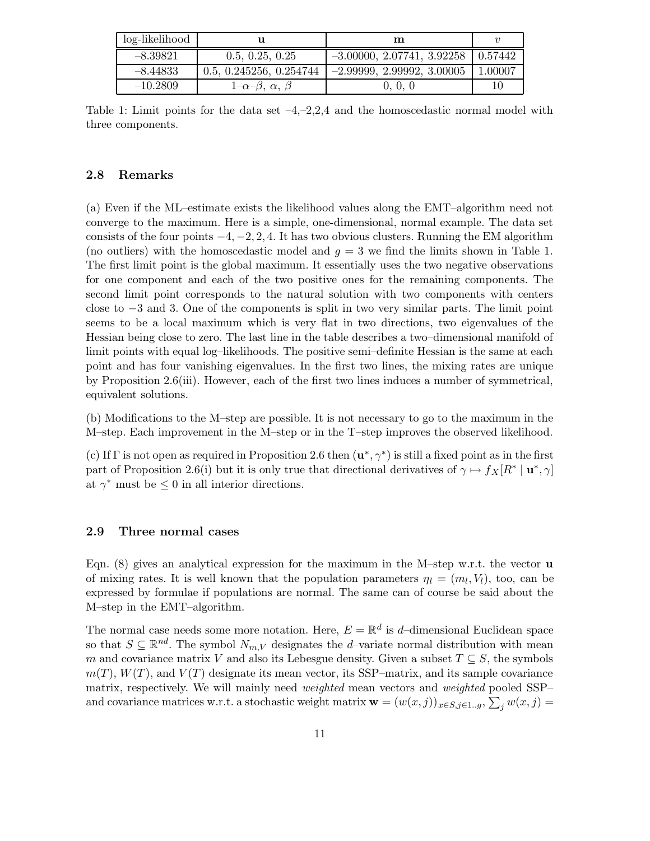| log-likelihood |                                 | m                            | $\boldsymbol{v}$ |
|----------------|---------------------------------|------------------------------|------------------|
| $-8.39821$     | 0.5, 0.25, 0.25                 | $-3.00000, 2.07741, 3.92258$ | 10.57442         |
| $-8.44833$     | 0.5, 0.245256, 0.254744         | $-2.99999, 2.99992, 3.00005$ | 1.00007          |
| $-10.2809$     | $1-\alpha-\beta, \alpha, \beta$ | 0, 0, 0                      | 10               |

Table 1: Limit points for the data set  $-4, -2, 2, 4$  and the homoscedastic normal model with three components.

## 2.8 Remarks

(a) Even if the ML–estimate exists the likelihood values along the EMT–algorithm need not converge to the maximum. Here is a simple, one-dimensional, normal example. The data set consists of the four points  $-4, -2, 2, 4$ . It has two obvious clusters. Running the EM algorithm (no outliers) with the homoscedastic model and  $g = 3$  we find the limits shown in Table 1. The first limit point is the global maximum. It essentially uses the two negative observations for one component and each of the two positive ones for the remaining components. The second limit point corresponds to the natural solution with two components with centers close to −3 and 3. One of the components is split in two very similar parts. The limit point seems to be a local maximum which is very flat in two directions, two eigenvalues of the Hessian being close to zero. The last line in the table describes a two–dimensional manifold of limit points with equal log–likelihoods. The positive semi–definite Hessian is the same at each point and has four vanishing eigenvalues. In the first two lines, the mixing rates are unique by Proposition 2.6(iii). However, each of the first two lines induces a number of symmetrical, equivalent solutions.

(b) Modifications to the M–step are possible. It is not necessary to go to the maximum in the M–step. Each improvement in the M–step or in the T–step improves the observed likelihood.

(c) If  $\Gamma$  is not open as required in Proposition 2.6 then  $(\mathbf{u}^*, \gamma^*)$  is still a fixed point as in the first part of Proposition 2.6(i) but it is only true that directional derivatives of  $\gamma \mapsto f_X[R^* | \mathbf{u}^*, \gamma]$ at  $\gamma^*$  must be  $\leq 0$  in all interior directions.

#### 2.9 Three normal cases

Eqn.  $(8)$  gives an analytical expression for the maximum in the M–step w.r.t. the vector **u** of mixing rates. It is well known that the population parameters  $\eta_l = (m_l, V_l)$ , too, can be expressed by formulae if populations are normal. The same can of course be said about the M–step in the EMT–algorithm.

The normal case needs some more notation. Here,  $E = \mathbb{R}^d$  is d-dimensional Euclidean space so that  $S \subseteq \mathbb{R}^{nd}$ . The symbol  $N_{m,V}$  designates the *d*-variate normal distribution with mean m and covariance matrix V and also its Lebesgue density. Given a subset  $T \subseteq S$ , the symbols  $m(T)$ ,  $W(T)$ , and  $V(T)$  designate its mean vector, its SSP-matrix, and its sample covariance matrix, respectively. We will mainly need *weighted* mean vectors and *weighted* pooled SSPand covariance matrices w.r.t. a stochastic weight matrix  $\mathbf{w} = (w(x,j))_{x \in S, j \in 1..g}, \sum_j w(x,j) =$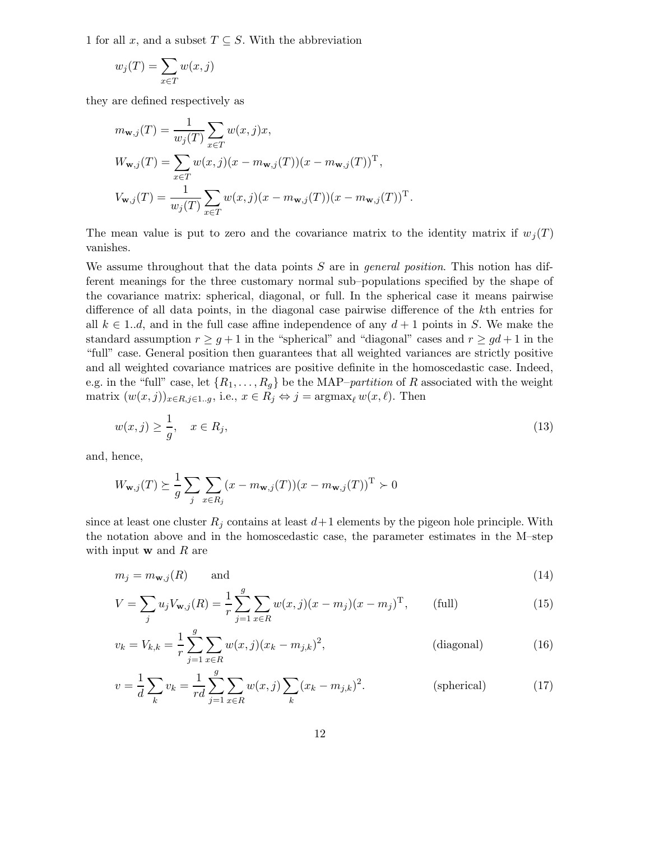1 for all x, and a subset  $T \subseteq S$ . With the abbreviation

$$
w_j(T) = \sum_{x \in T} w(x, j)
$$

they are defined respectively as

$$
m_{\mathbf{w},j}(T) = \frac{1}{w_j(T)} \sum_{x \in T} w(x,j)x,
$$
  
\n
$$
W_{\mathbf{w},j}(T) = \sum_{x \in T} w(x,j)(x - m_{\mathbf{w},j}(T))(x - m_{\mathbf{w},j}(T))^T,
$$
  
\n
$$
V_{\mathbf{w},j}(T) = \frac{1}{w_j(T)} \sum_{x \in T} w(x,j)(x - m_{\mathbf{w},j}(T))(x - m_{\mathbf{w},j}(T))^T.
$$

The mean value is put to zero and the covariance matrix to the identity matrix if  $w_i(T)$ vanishes.

We assume throughout that the data points  $S$  are in *general position*. This notion has different meanings for the three customary normal sub–populations specified by the shape of the covariance matrix: spherical, diagonal, or full. In the spherical case it means pairwise difference of all data points, in the diagonal case pairwise difference of the kth entries for all  $k \in \{1..d\}$ , and in the full case affine independence of any  $d+1$  points in S. We make the standard assumption  $r \geq g+1$  in the "spherical" and "diagonal" cases and  $r \geq gd+1$  in the "full" case. General position then guarantees that all weighted variances are strictly positive and all weighted covariance matrices are positive definite in the homoscedastic case. Indeed, e.g. in the "full" case, let  $\{R_1, \ldots, R_g\}$  be the MAP–*partition* of R associated with the weight matrix  $(w(x, j))_{x \in R, j \in 1..g}$ , i.e.,  $x \in R_j \Leftrightarrow j = \operatorname{argmax}_{\ell} w(x, \ell)$ . Then

$$
w(x,j) \ge \frac{1}{g}, \quad x \in R_j,\tag{13}
$$

and, hence,

$$
W_{\mathbf{w},j}(T) \succeq \frac{1}{g} \sum_{j} \sum_{x \in R_j} (x - m_{\mathbf{w},j}(T))(x - m_{\mathbf{w},j}(T))^{\mathrm{T}} \succ 0
$$

since at least one cluster  $R_i$  contains at least  $d+1$  elements by the pigeon hole principle. With the notation above and in the homoscedastic case, the parameter estimates in the M–step with input  $\bf{w}$  and  $\bf{R}$  are

$$
m_j = m_{\mathbf{w},j}(R) \qquad \text{and} \tag{14}
$$

$$
V = \sum_{j} u_j V_{\mathbf{w},j}(R) = \frac{1}{r} \sum_{j=1}^{g} \sum_{x \in R} w(x,j)(x - m_j)(x - m_j)^{\mathrm{T}}, \qquad \text{(full)} \tag{15}
$$

$$
v_k = V_{k,k} = \frac{1}{r} \sum_{j=1}^{g} \sum_{x \in R} w(x,j)(x_k - m_{j,k})^2,
$$
 (diagonal) (16)

$$
v = \frac{1}{d} \sum_{k} v_k = \frac{1}{rd} \sum_{j=1}^{g} \sum_{x \in R} w(x, j) \sum_{k} (x_k - m_{j,k})^2.
$$
 (spherical) (17)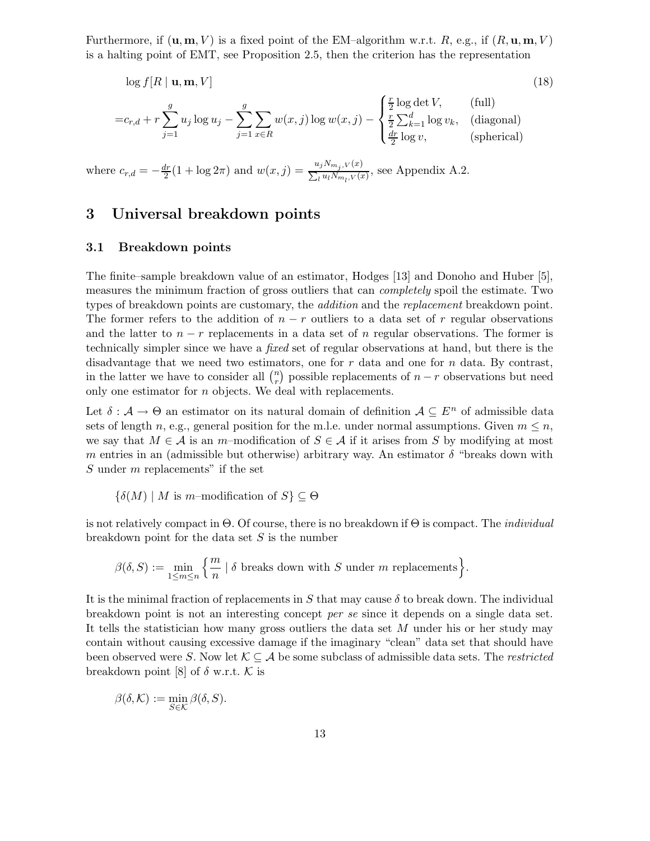Furthermore, if  $(\mathbf{u}, \mathbf{m}, V)$  is a fixed point of the EM–algorithm w.r.t. R, e.g., if  $(R, \mathbf{u}, \mathbf{m}, V)$ is a halting point of EMT, see Proposition 2.5, then the criterion has the representation

$$
\log f[R \mid \mathbf{u}, \mathbf{m}, V] \tag{18}
$$
\n
$$
= c_{r,d} + r \sum_{j=1}^{g} u_j \log u_j - \sum_{j=1}^{g} \sum_{x \in R} w(x, j) \log w(x, j) - \begin{cases} \frac{r}{2} \log \det V, & \text{(full)}\\ \frac{r}{2} \sum_{k=1}^{d} \log v_k, & \text{(diagonal)}\\ \frac{dr}{2} \log v, & \text{(spherical)} \end{cases}
$$

where  $c_{r,d} = -\frac{dr}{2}(1 + \log 2\pi)$  and  $w(x, j) = \frac{u_j N_{m_j, V}(x)}{\sum_l u_l N_{m_l, V}(x)}$ , see Appendix A.2.

# 3 Universal breakdown points

#### 3.1 Breakdown points

The finite–sample breakdown value of an estimator, Hodges [13] and Donoho and Huber [5], measures the minimum fraction of gross outliers that can completely spoil the estimate. Two types of breakdown points are customary, the *addition* and the *replacement* breakdown point. The former refers to the addition of  $n - r$  outliers to a data set of r regular observations and the latter to  $n - r$  replacements in a data set of n regular observations. The former is technically simpler since we have a fixed set of regular observations at hand, but there is the disadvantage that we need two estimators, one for  $r$  data and one for  $n$  data. By contrast, in the latter we have to consider all  $\binom{n}{r}$  $\binom{n}{r}$  possible replacements of  $n-r$  observations but need only one estimator for  $n$  objects. We deal with replacements.

Let  $\delta : \mathcal{A} \to \Theta$  an estimator on its natural domain of definition  $\mathcal{A} \subseteq E^n$  of admissible data sets of length n, e.g., general position for the m.l.e. under normal assumptions. Given  $m \leq n$ , we say that  $M \in \mathcal{A}$  is an m-modification of  $S \in \mathcal{A}$  if it arises from S by modifying at most m entries in an (admissible but otherwise) arbitrary way. An estimator  $\delta$  "breaks down with S under m replacements" if the set

$$
\{\delta(M) \mid M \text{ is } m\text{-modification of } S\} \subseteq \Theta
$$

is not relatively compact in  $\Theta$ . Of course, there is no breakdown if  $\Theta$  is compact. The *individual* breakdown point for the data set  $S$  is the number

$$
\beta(\delta,S):=\min_{1\leq m\leq n}\Big\{\frac{m}{n}\mid \delta \text{ breaks down with } S \text{ under } m \text{ replacements}\Big\}.
$$

It is the minimal fraction of replacements in S that may cause  $\delta$  to break down. The individual breakdown point is not an interesting concept per se since it depends on a single data set. It tells the statistician how many gross outliers the data set  $M$  under his or her study may contain without causing excessive damage if the imaginary "clean" data set that should have been observed were S. Now let  $\mathcal{K} \subseteq \mathcal{A}$  be some subclass of admissible data sets. The *restricted* breakdown point [8] of  $\delta$  w.r.t. K is

$$
\beta(\delta,\mathcal{K}):=\min_{S\in\mathcal{K}}\beta(\delta,S).
$$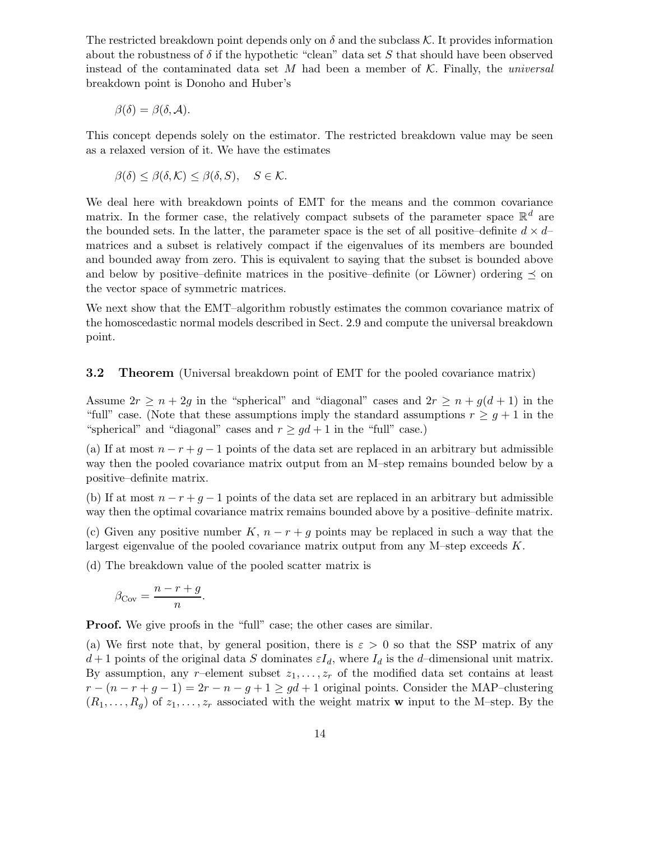The restricted breakdown point depends only on  $\delta$  and the subclass K. It provides information about the robustness of  $\delta$  if the hypothetic "clean" data set S that should have been observed instead of the contaminated data set M had been a member of  $K$ . Finally, the *universal* breakdown point is Donoho and Huber's

$$
\beta(\delta) = \beta(\delta, \mathcal{A}).
$$

This concept depends solely on the estimator. The restricted breakdown value may be seen as a relaxed version of it. We have the estimates

$$
\beta(\delta) \leq \beta(\delta, \mathcal{K}) \leq \beta(\delta, S), \quad S \in \mathcal{K}.
$$

We deal here with breakdown points of EMT for the means and the common covariance matrix. In the former case, the relatively compact subsets of the parameter space  $\mathbb{R}^d$  are the bounded sets. In the latter, the parameter space is the set of all positive–definite  $d \times d$ – matrices and a subset is relatively compact if the eigenvalues of its members are bounded and bounded away from zero. This is equivalent to saying that the subset is bounded above and below by positive–definite matrices in the positive–definite (or Löwner) ordering  $\preceq$  on the vector space of symmetric matrices.

We next show that the EMT–algorithm robustly estimates the common covariance matrix of the homoscedastic normal models described in Sect. 2.9 and compute the universal breakdown point.

**3.2** Theorem (Universal breakdown point of EMT for the pooled covariance matrix)

Assume  $2r \geq n + 2g$  in the "spherical" and "diagonal" cases and  $2r \geq n + g(d+1)$  in the "full" case. (Note that these assumptions imply the standard assumptions  $r \geq g+1$  in the "spherical" and "diagonal" cases and  $r \geq gd + 1$  in the "full" case.)

(a) If at most  $n - r + g - 1$  points of the data set are replaced in an arbitrary but admissible way then the pooled covariance matrix output from an M–step remains bounded below by a positive–definite matrix.

(b) If at most  $n - r + g - 1$  points of the data set are replaced in an arbitrary but admissible way then the optimal covariance matrix remains bounded above by a positive–definite matrix.

(c) Given any positive number  $K, n-r+q$  points may be replaced in such a way that the largest eigenvalue of the pooled covariance matrix output from any M–step exceeds K.

(d) The breakdown value of the pooled scatter matrix is

$$
\beta_{\text{Cov}} = \frac{n - r + g}{n}.
$$

**Proof.** We give proofs in the "full" case; the other cases are similar.

(a) We first note that, by general position, there is  $\varepsilon > 0$  so that the SSP matrix of any  $d+1$  points of the original data S dominates  $\varepsilon I_d$ , where  $I_d$  is the d-dimensional unit matrix. By assumption, any r–element subset  $z_1, \ldots, z_r$  of the modified data set contains at least  $r - (n - r + g - 1) = 2r - n - g + 1 \geq gd + 1$  original points. Consider the MAP–clustering  $(R_1, \ldots, R_q)$  of  $z_1, \ldots, z_r$  associated with the weight matrix **w** input to the M–step. By the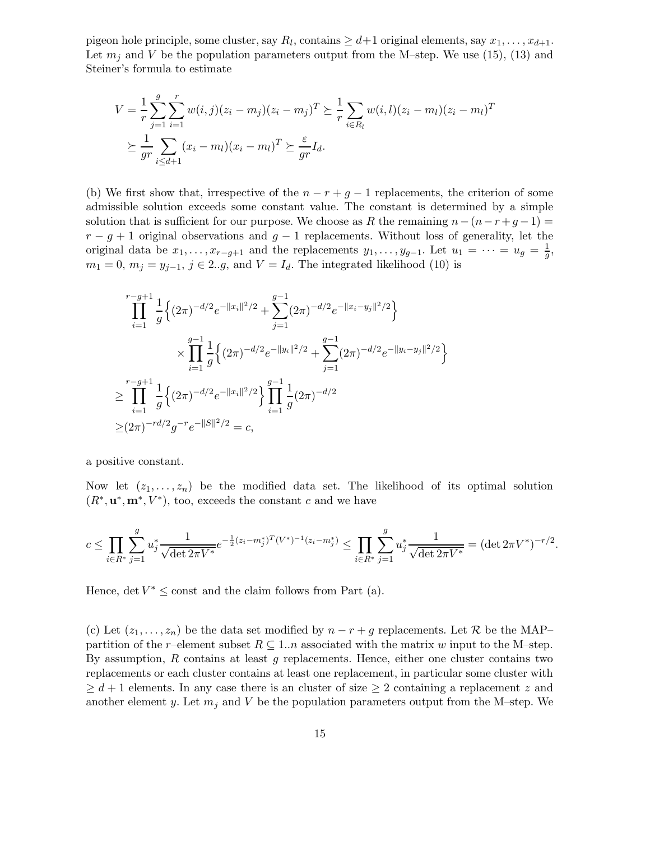pigeon hole principle, some cluster, say  $R_l$ , contains  $\geq d+1$  original elements, say  $x_1, \ldots, x_{d+1}$ . Let  $m_i$  and V be the population parameters output from the M–step. We use (15), (13) and Steiner's formula to estimate

$$
V = \frac{1}{r} \sum_{j=1}^{g} \sum_{i=1}^{r} w(i,j)(z_i - m_j)(z_i - m_j)^T \succeq \frac{1}{r} \sum_{i \in R_l} w(i,l)(z_i - m_l)(z_i - m_l)^T
$$
  
 
$$
\succeq \frac{1}{gr} \sum_{i \le d+1} (x_i - m_l)(x_i - m_l)^T \succeq \frac{\varepsilon}{gr} I_d.
$$

(b) We first show that, irrespective of the  $n - r + g - 1$  replacements, the criterion of some admissible solution exceeds some constant value. The constant is determined by a simple solution that is sufficient for our purpose. We choose as R the remaining  $n-(n-r+g-1)$  $r - g + 1$  original observations and  $g - 1$  replacements. Without loss of generality, let the original data be  $x_1, \ldots, x_{r-g+1}$  and the replacements  $y_1, \ldots, y_{g-1}$ . Let  $u_1 = \cdots = u_g = \frac{1}{g}$ ,  $m_1 = 0$ ,  $m_j = y_{j-1}$ ,  $j \in 2..g$ , and  $V = I_d$ . The integrated likelihood (10) is

$$
\prod_{i=1}^{r-g+1} \frac{1}{g} \left\{ (2\pi)^{-d/2} e^{-\|x_i\|^2/2} + \sum_{j=1}^{g-1} (2\pi)^{-d/2} e^{-\|x_i - y_j\|^2/2} \right\}
$$
  

$$
\times \prod_{i=1}^{g-1} \frac{1}{g} \left\{ (2\pi)^{-d/2} e^{-\|y_i\|^2/2} + \sum_{j=1}^{g-1} (2\pi)^{-d/2} e^{-\|y_i - y_j\|^2/2} \right\}
$$
  

$$
\geq \prod_{i=1}^{r-g+1} \frac{1}{g} \left\{ (2\pi)^{-d/2} e^{-\|x_i\|^2/2} \right\} \prod_{i=1}^{g-1} \frac{1}{g} (2\pi)^{-d/2}
$$
  

$$
\geq (2\pi)^{-rd/2} g^{-r} e^{-\|S\|^2/2} = c,
$$

a positive constant.

Now let  $(z_1, \ldots, z_n)$  be the modified data set. The likelihood of its optimal solution  $(R^*, \mathbf{u}^*, \mathbf{m}^*, V^*)$ , too, exceeds the constant c and we have

$$
c \leq \prod_{i \in R^*} \sum_{j=1}^g u_j^* \frac{1}{\sqrt{\det 2\pi V^*}} e^{-\frac{1}{2}(z_i - m_j^*)^T (V^*)^{-1} (z_i - m_j^*)} \leq \prod_{i \in R^*} \sum_{j=1}^g u_j^* \frac{1}{\sqrt{\det 2\pi V^*}} = (\det 2\pi V^*)^{-r/2}.
$$

Hence, det  $V^* \leq$  const and the claim follows from Part (a).

(c) Let  $(z_1, \ldots, z_n)$  be the data set modified by  $n - r + g$  replacements. Let R be the MAP– partition of the r–element subset  $R \subseteq 1..n$  associated with the matrix w input to the M–step. By assumption,  $R$  contains at least  $g$  replacements. Hence, either one cluster contains two replacements or each cluster contains at least one replacement, in particular some cluster with  $\geq d+1$  elements. In any case there is an cluster of size  $\geq 2$  containing a replacement z and another element y. Let  $m_j$  and V be the population parameters output from the M–step. We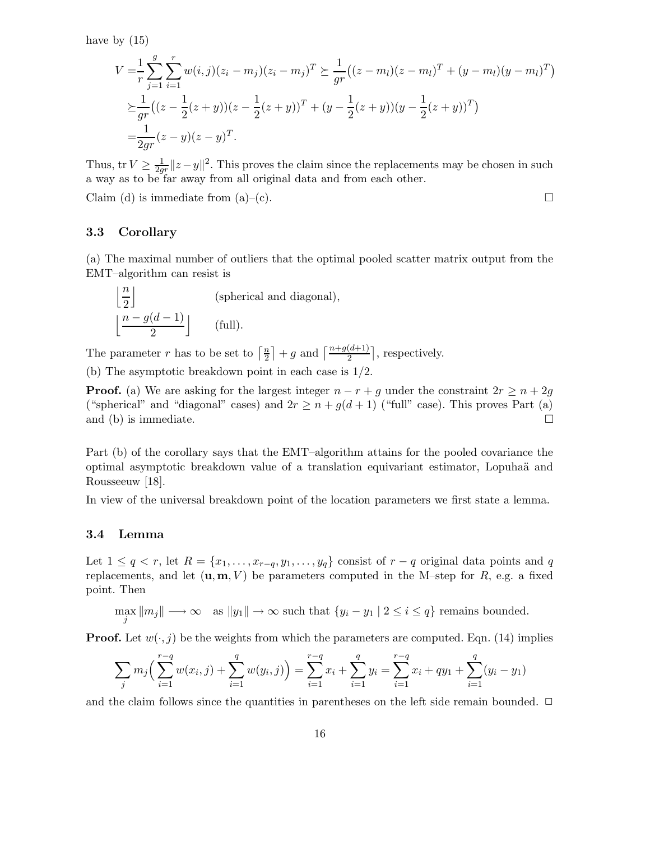have by  $(15)$ 

$$
V = \frac{1}{r} \sum_{j=1}^{g} \sum_{i=1}^{r} w(i,j)(z_i - m_j)(z_i - m_j)^T \succeq \frac{1}{gr} ((z - m_l)(z - m_l)^T + (y - m_l)(y - m_l)^T)
$$
  
\n
$$
\succeq \frac{1}{gr} ((z - \frac{1}{2}(z + y))(z - \frac{1}{2}(z + y))^T + (y - \frac{1}{2}(z + y))(y - \frac{1}{2}(z + y))^T)
$$
  
\n
$$
= \frac{1}{2gr} (z - y)(z - y)^T.
$$

Thus, tr  $V \geq \frac{1}{2g}$  $\frac{1}{2gr}$  || $z - y$ ||<sup>2</sup>. This proves the claim since the replacements may be chosen in such a way as to be far away from all original data and from each other.

Claim (d) is immediate from (a)–(c).

#### 3.3 Corollary

(a) The maximal number of outliers that the optimal pooled scatter matrix output from the EMT–algorithm can resist is

$$
\left\lfloor \frac{n}{2} \right\rfloor
$$
 (spherical and diagonal),  

$$
\left\lfloor \frac{n - g(d - 1)}{2} \right\rfloor
$$
 (full).

The parameter r has to be set to  $\lceil \frac{n}{2} \rceil$  $\frac{n}{2}$  | + g and  $\left\lceil \frac{n+g(d+1)}{2} \right\rceil$ , respectively.

(b) The asymptotic breakdown point in each case is 1/2.

**Proof.** (a) We are asking for the largest integer  $n - r + g$  under the constraint  $2r \geq n + 2g$ ("spherical" and "diagonal" cases) and  $2r \ge n + g(d+1)$  ("full" case). This proves Part (a) and (b) is immediate. and (b) is immediate.

Part (b) of the corollary says that the EMT–algorithm attains for the pooled covariance the optimal asymptotic breakdown value of a translation equivariant estimator, Lopuha¨a and Rousseeuw [18].

In view of the universal breakdown point of the location parameters we first state a lemma.

#### 3.4 Lemma

Let  $1 \leq q < r$ , let  $R = \{x_1, \ldots, x_{r-q}, y_1, \ldots, y_q\}$  consist of  $r - q$  original data points and q replacements, and let  $(\mathbf{u}, \mathbf{m}, V)$  be parameters computed in the M–step for R, e.g. a fixed point. Then

 $\max_{j} \|m_j\| \longrightarrow \infty$  as  $||y_1|| \longrightarrow \infty$  such that  $\{y_i - y_1 \mid 2 \leq i \leq q\}$  remains bounded.

**Proof.** Let  $w(\cdot, j)$  be the weights from which the parameters are computed. Eqn. (14) implies

$$
\sum_{j} m_j \left( \sum_{i=1}^{r-q} w(x_i, j) + \sum_{i=1}^{q} w(y_i, j) \right) = \sum_{i=1}^{r-q} x_i + \sum_{i=1}^{q} y_i = \sum_{i=1}^{r-q} x_i + q y_1 + \sum_{i=1}^{q} (y_i - y_1)
$$

and the claim follows since the quantities in parentheses on the left side remain bounded.  $\Box$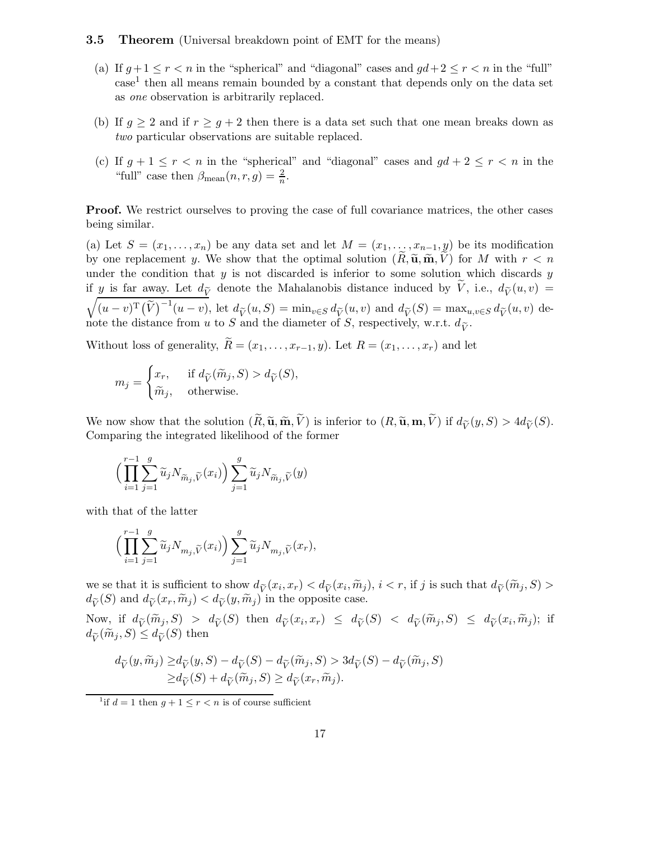#### **3.5 Theorem** (Universal breakdown point of EMT for the means)

- (a) If  $q+1 \leq r \leq n$  in the "spherical" and "diagonal" cases and  $qd+2 \leq r \leq n$  in the "full" case<sup>1</sup> then all means remain bounded by a constant that depends only on the data set as one observation is arbitrarily replaced.
- (b) If  $g \ge 2$  and if  $r \ge g+2$  then there is a data set such that one mean breaks down as two particular observations are suitable replaced.
- (c) If  $g + 1 \le r < n$  in the "spherical" and "diagonal" cases and  $gd + 2 \le r < n$  in the "full" case then  $\beta_{\text{mean}}(n, r, g) = \frac{2}{n}$  $\frac{2}{n}$ .

Proof. We restrict ourselves to proving the case of full covariance matrices, the other cases being similar.

(a) Let  $S = (x_1, \ldots, x_n)$  be any data set and let  $M = (x_1, \ldots, x_{n-1}, y)$  be its modification by one replacement y. We show that the optimal solution  $(R, \tilde{\mathbf{u}}, \tilde{\mathbf{m}}, V)$  for M with  $r < n$ under the condition that  $y$  is not discarded is inferior to some solution which discards  $y$ if y is far away. Let  $d_{\tilde{V}}$  denote the Mahalanobis distance induced by  $\tilde{V}$ , i.e.,  $d_{\tilde{V}}(u, v)$  =  $(u-v)^{\mathrm{T}}(\widetilde{V})^{-1}(u-v)$ , let  $d_{\widetilde{V}}(u,S) = \min_{v \in S} d_{\widetilde{V}}(u,v)$  and  $d_{\widetilde{V}}(S) = \max_{u,v \in S} d_{\widetilde{V}}(u,v)$  denote the distance from u to S and the diameter of S, respectively, w.r.t.  $d_{\tilde{V}}$ .

Without loss of generality,  $\widetilde{R} = (x_1, \ldots, x_{r-1}, y)$ . Let  $R = (x_1, \ldots, x_r)$  and let

$$
m_j = \begin{cases} x_r, & \text{if } d_{\widetilde{V}}(\widetilde{m}_j, S) > d_{\widetilde{V}}(S), \\ \widetilde{m}_j, & \text{otherwise.} \end{cases}
$$

We now show that the solution  $(\widetilde{R}, \widetilde{\mathbf{u}}, \widetilde{\mathbf{m}}, \widetilde{V})$  is inferior to  $(R, \widetilde{\mathbf{u}}, \mathbf{m}, \widetilde{V})$  if  $d_{\widetilde{V}}(y, S) > 4d_{\widetilde{V}}(S)$ . Comparing the integrated likelihood of the former

$$
\Big(\prod_{i=1}^{r-1}\sum_{j=1}^g\widetilde{u}_jN_{\widetilde{m}_j,\widetilde{V}}(x_i)\Big)\sum_{j=1}^g\widetilde{u}_jN_{\widetilde{m}_j,\widetilde{V}}(y)
$$

with that of the latter

$$
\Big(\prod_{i=1}^{r-1}\sum_{j=1}^g\widetilde{u}_jN_{m_j,\widetilde{V}}(x_i)\Big)\sum_{j=1}^g\widetilde{u}_jN_{m_j,\widetilde{V}}(x_r),
$$

we se that it is sufficient to show  $d_{\tilde{V}}(x_i, x_r) < d_{\tilde{V}}(x_i, \tilde{m}_j), i < r$ , if j is such that  $d_{\tilde{V}}(\tilde{m}_j, S) >$  $d_{\widetilde{V}}(S)$  and  $d_{\widetilde{V}}(x_r, \widetilde{m}_j) < d_{\widetilde{V}}(y, \widetilde{m}_j)$  in the opposite case.

Now, if  $d_{\widetilde{V}}(\widetilde{m}_j, S) > d_{\widetilde{V}}(S)$  then  $d_{\widetilde{V}}(x_i, x_r) \leq d_{\widetilde{V}}(S) < d_{\widetilde{V}}(\widetilde{m}_j, S) \leq d_{\widetilde{V}}(x_i, \widetilde{m}_j);$  if  $d_{\widetilde{V}}(\widetilde{m}_i, S) \leq d_{\widetilde{V}}(S)$  then

$$
d_{\widetilde{V}}(y, \widetilde{m}_j) \ge d_{\widetilde{V}}(y, S) - d_{\widetilde{V}}(S) - d_{\widetilde{V}}(\widetilde{m}_j, S) > 3d_{\widetilde{V}}(S) - d_{\widetilde{V}}(\widetilde{m}_j, S)
$$
  
 
$$
\ge d_{\widetilde{V}}(S) + d_{\widetilde{V}}(\widetilde{m}_j, S) \ge d_{\widetilde{V}}(x_r, \widetilde{m}_j).
$$

<sup>&</sup>lt;sup>1</sup>if  $d = 1$  then  $g + 1 \le r < n$  is of course sufficient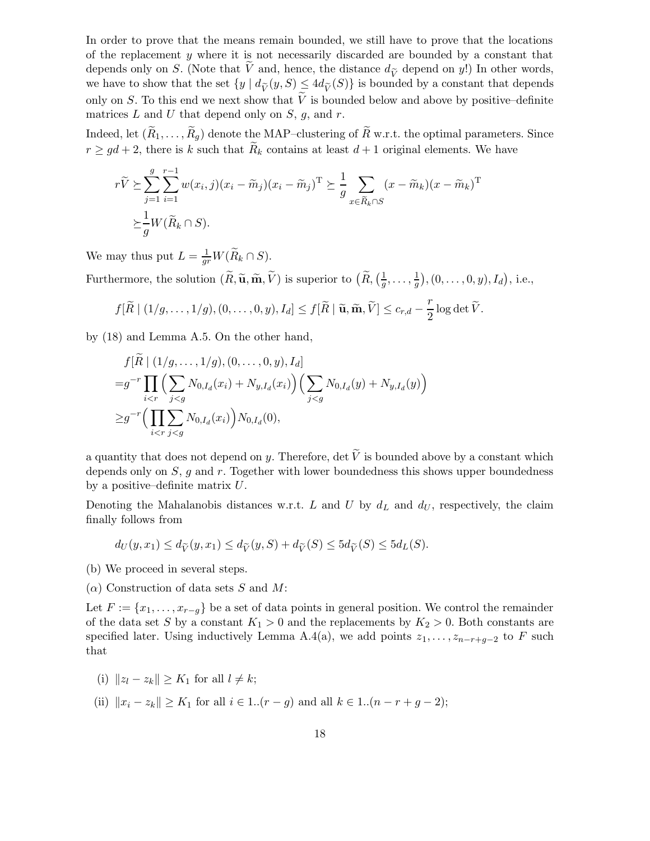In order to prove that the means remain bounded, we still have to prove that the locations of the replacement  $\gamma$  where it is not necessarily discarded are bounded by a constant that depends only on S. (Note that  $\tilde{V}$  and, hence, the distance  $d_{\tilde{V}}$  depend on y!) In other words, we have to show that the set  $\{y \mid d_{\widetilde{V}}(y, S) \leq 4d_{\widetilde{V}}(S)\}\$ is bounded by a constant that depends only on S. To this end we next show that  $\tilde{V}$  is bounded below and above by positive–definite matrices  $L$  and  $U$  that depend only on  $S$ ,  $g$ , and  $r$ .

Indeed, let  $(\widetilde{R}_1,\ldots,\widetilde{R}_q)$  denote the MAP–clustering of  $\widetilde{R}$  w.r.t. the optimal parameters. Since  $r \geq gd + 2$ , there is k such that  $\widetilde{R}_k$  contains at least  $d+1$  original elements. We have

$$
r\widetilde{V} \succeq \sum_{j=1}^{g} \sum_{i=1}^{r-1} w(x_i, j)(x_i - \widetilde{m}_j)(x_i - \widetilde{m}_j)^{\mathrm{T}} \succeq \frac{1}{g} \sum_{x \in \widetilde{R}_k \cap S} (x - \widetilde{m}_k)(x - \widetilde{m}_k)^{\mathrm{T}}
$$

$$
\succeq \frac{1}{g} W(\widetilde{R}_k \cap S).
$$

We may thus put  $L = \frac{1}{gr} W(\widetilde{R}_k \cap S)$ .

Furthermore, the solution  $(\widetilde{R}, \widetilde{\mathbf{u}}, \widetilde{\mathbf{m}}, \widetilde{V})$  is superior to  $(\widetilde{R}, \left(\frac{1}{g}\right)$  $\frac{1}{g}, \ldots, \frac{1}{g}$  $(\frac{1}{g}), (0, \ldots, 0, y), I_d),$  i.e.,

$$
f[\widetilde{R} \mid (1/g,\ldots,1/g), (0,\ldots,0,y), I_d] \le f[\widetilde{R} \mid \widetilde{\mathbf{u}}, \widetilde{\mathbf{m}}, \widetilde{V}] \le c_{r,d} - \frac{r}{2}\log \det \widetilde{V}.
$$

by (18) and Lemma A.5. On the other hand,

$$
f[\tilde{R} | (1/g, ..., 1/g), (0, ..., 0, y), I_d]
$$
  
=  $g^{-r} \prod_{i < r} \Big( \sum_{j < g} N_{0, I_d}(x_i) + N_{y, I_d}(x_i) \Big) \Big( \sum_{j < g} N_{0, I_d}(y) + N_{y, I_d}(y) \Big)$   

$$
\geq g^{-r} \Big( \prod_{i < r} \sum_{j < g} N_{0, I_d}(x_i) \Big) N_{0, I_d}(0),
$$

a quantity that does not depend on y. Therefore, det  $\widetilde{V}$  is bounded above by a constant which depends only on  $S$ ,  $g$  and  $r$ . Together with lower boundedness this shows upper boundedness by a positive–definite matrix  $U$ .

Denoting the Mahalanobis distances w.r.t. L and U by  $d<sub>L</sub>$  and  $d<sub>U</sub>$ , respectively, the claim finally follows from

$$
d_U(y, x_1) \le d_{\widetilde{V}}(y, x_1) \le d_{\widetilde{V}}(y, S) + d_{\widetilde{V}}(S) \le 5d_{\widetilde{V}}(S) \le 5d_L(S).
$$

- (b) We proceed in several steps.
- $(\alpha)$  Construction of data sets S and M:

Let  $F := \{x_1, \ldots, x_{r-q}\}$  be a set of data points in general position. We control the remainder of the data set S by a constant  $K_1 > 0$  and the replacements by  $K_2 > 0$ . Both constants are specified later. Using inductively Lemma A.4(a), we add points  $z_1, \ldots, z_{n-r+q-2}$  to F such that

- (i)  $||z_l z_k|| > K_1$  for all  $l \neq k$ ;
- (ii)  $||x_i z_k|| \ge K_1$  for all  $i \in 1..(r g)$  and all  $k \in 1..(n r + g 2);$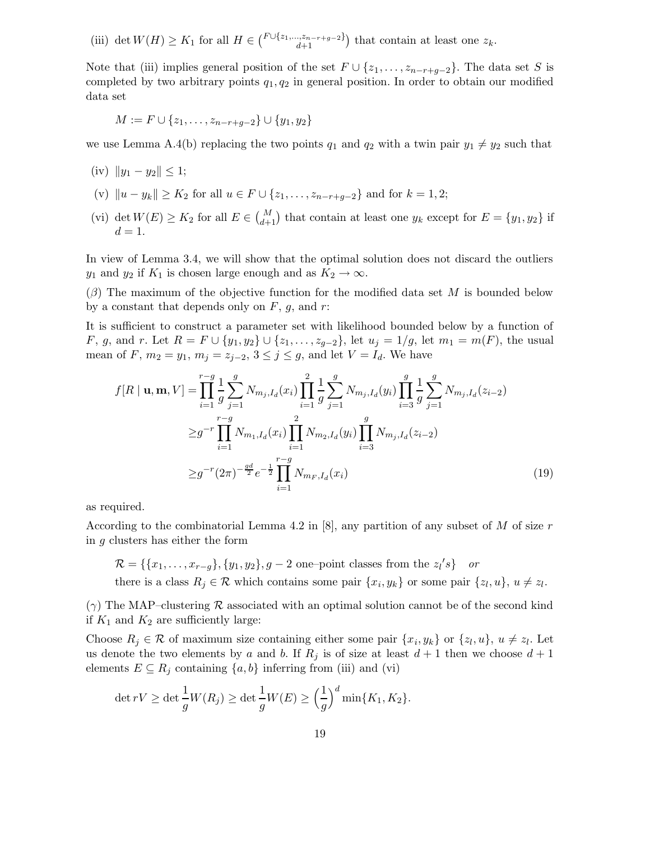(iii) det  $W(H) \geq K_1$  for all  $H \in {\binom{F \cup \{z_1,\ldots,z_{n-r+g-2}\}}{d+1}}$  that contain at least one  $z_k$ .

Note that (iii) implies general position of the set  $F \cup \{z_1, \ldots, z_{n-r+g-2}\}$ . The data set S is completed by two arbitrary points  $q_1, q_2$  in general position. In order to obtain our modified data set

$$
M := F \cup \{z_1, \ldots, z_{n-r+g-2}\} \cup \{y_1, y_2\}
$$

we use Lemma A.4(b) replacing the two points  $q_1$  and  $q_2$  with a twin pair  $y_1 \neq y_2$  such that

- (iv)  $||y_1 y_2|| < 1$ ;
- (v)  $||u y_k|| \ge K_2$  for all  $u \in F \cup \{z_1, \ldots, z_{n-r+q-2}\}\$  and for  $k = 1, 2;$
- (vi) det  $W(E) \geq K_2$  for all  $E \in {M \choose d+1}$  that contain at least one  $y_k$  except for  $E = \{y_1, y_2\}$  if  $d=1$ .

In view of Lemma 3.4, we will show that the optimal solution does not discard the outliers  $y_1$  and  $y_2$  if  $K_1$  is chosen large enough and as  $K_2 \to \infty$ .

 $(\beta)$  The maximum of the objective function for the modified data set M is bounded below by a constant that depends only on  $F$ ,  $g$ , and  $r$ :

It is sufficient to construct a parameter set with likelihood bounded below by a function of F, g, and r. Let  $R = F \cup \{y_1, y_2\} \cup \{z_1, \ldots, z_{g-2}\}$ , let  $u_j = 1/g$ , let  $m_1 = m(F)$ , the usual mean of F,  $m_2 = y_1$ ,  $m_j = z_{j-2}$ ,  $3 \le j \le g$ , and let  $V = I_d$ . We have

$$
f[R | \mathbf{u}, \mathbf{m}, V] = \prod_{i=1}^{r-g} \frac{1}{g} \sum_{j=1}^{g} N_{m_j, I_d}(x_i) \prod_{i=1}^{2} \frac{1}{g} \sum_{j=1}^{g} N_{m_j, I_d}(y_i) \prod_{i=3}^{g} \frac{1}{g} \sum_{j=1}^{g} N_{m_j, I_d}(z_{i-2})
$$
  

$$
\geq g^{-r} \prod_{i=1}^{r-g} N_{m_1, I_d}(x_i) \prod_{i=1}^{2} N_{m_2, I_d}(y_i) \prod_{i=3}^{g} N_{m_j, I_d}(z_{i-2})
$$
  

$$
\geq g^{-r} (2\pi)^{-\frac{gd}{2}} e^{-\frac{1}{2}} \prod_{i=1}^{r-g} N_{m_F, I_d}(x_i)
$$
(19)

as required.

According to the combinatorial Lemma 4.2 in  $[8]$ , any partition of any subset of M of size r in g clusters has either the form

$$
\mathcal{R} = \{ \{x_1, \dots, x_{r-g}\}, \{y_1, y_2\}, g - 2 \text{ one-point classes from the } z_l's \} \text{ or}
$$
  
there is a class  $R_j \in \mathcal{R}$  which contains some pair  $\{x_i, y_k\}$  or some pair  $\{z_l, u\}, u \neq z_l$ 

.

 $(\gamma)$  The MAP–clustering  $\mathcal R$  associated with an optimal solution cannot be of the second kind if  $K_1$  and  $K_2$  are sufficiently large:

Choose  $R_j \in \mathcal{R}$  of maximum size containing either some pair  $\{x_i, y_k\}$  or  $\{z_i, u\}, u \neq z_l$ . Let us denote the two elements by a and b. If  $R_i$  is of size at least  $d+1$  then we choose  $d+1$ elements  $E \subseteq R_j$  containing  $\{a, b\}$  inferring from (iii) and (vi)

$$
\det rV \ge \det \frac{1}{g}W(R_j) \ge \det \frac{1}{g}W(E) \ge \left(\frac{1}{g}\right)^d \min\{K_1, K_2\}.
$$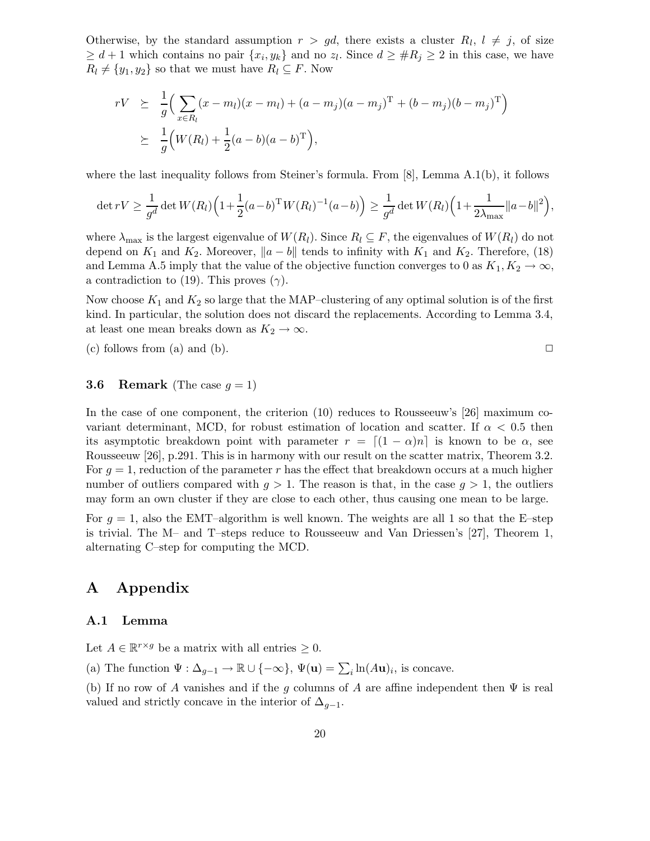Otherwise, by the standard assumption  $r > gd$ , there exists a cluster  $R_l$ ,  $l \neq j$ , of size  $\geq d+1$  which contains no pair  $\{x_i, y_k\}$  and no  $z_l$ . Since  $d \geq \#R_j \geq 2$  in this case, we have  $R_l \neq \{y_1, y_2\}$  so that we must have  $R_l \subseteq F$ . Now

$$
rV \geq \frac{1}{g} \Big( \sum_{x \in R_l} (x - m_l)(x - m_l) + (a - m_j)(a - m_j)^{\mathrm{T}} + (b - m_j)(b - m_j)^{\mathrm{T}} \Big) \geq \frac{1}{g} \Big( W(R_l) + \frac{1}{2}(a - b)(a - b)^{\mathrm{T}} \Big),
$$

where the last inequality follows from Steiner's formula. From [8], Lemma A.1(b), it follows

$$
\det rV \ge \frac{1}{g^d} \det W(R_l) \left( 1 + \frac{1}{2} (a - b)^{\mathrm{T}} W(R_l)^{-1} (a - b) \right) \ge \frac{1}{g^d} \det W(R_l) \left( 1 + \frac{1}{2\lambda_{\max}} ||a - b||^2 \right),
$$

where  $\lambda_{\text{max}}$  is the largest eigenvalue of  $W(R_l)$ . Since  $R_l \subseteq F$ , the eigenvalues of  $W(R_l)$  do not depend on  $K_1$  and  $K_2$ . Moreover,  $||a - b||$  tends to infinity with  $K_1$  and  $K_2$ . Therefore, (18) and Lemma A.5 imply that the value of the objective function converges to 0 as  $K_1, K_2 \to \infty$ , a contradiction to (19). This proves ( $\gamma$ ).

Now choose  $K_1$  and  $K_2$  so large that the MAP–clustering of any optimal solution is of the first kind. In particular, the solution does not discard the replacements. According to Lemma 3.4, at least one mean breaks down as  $K_2 \to \infty$ .

(c) follows from (a) and (b).  $\square$ 

## **3.6 Remark** (The case  $g = 1$ )

In the case of one component, the criterion (10) reduces to Rousseeuw's [26] maximum covariant determinant, MCD, for robust estimation of location and scatter. If  $\alpha < 0.5$  then its asymptotic breakdown point with parameter  $r = \left[ (1 - \alpha)n \right]$  is known to be  $\alpha$ , see Rousseeuw [26], p.291. This is in harmony with our result on the scatter matrix, Theorem 3.2. For  $g = 1$ , reduction of the parameter r has the effect that breakdown occurs at a much higher number of outliers compared with  $g > 1$ . The reason is that, in the case  $g > 1$ , the outliers may form an own cluster if they are close to each other, thus causing one mean to be large.

For  $g = 1$ , also the EMT-algorithm is well known. The weights are all 1 so that the E-step is trivial. The M– and T–steps reduce to Rousseeuw and Van Driessen's [27], Theorem 1, alternating C–step for computing the MCD.

# A Appendix

#### A.1 Lemma

Let  $A \in \mathbb{R}^{r \times g}$  be a matrix with all entries  $\geq 0$ .

(a) The function  $\Psi : \Delta_{g-1} \to \mathbb{R} \cup \{-\infty\}, \Psi(\mathbf{u}) = \sum_i \ln(A\mathbf{u})_i$ , is concave.

(b) If no row of A vanishes and if the g columns of A are affine independent then  $\Psi$  is real valued and strictly concave in the interior of  $\Delta_{g-1}$ .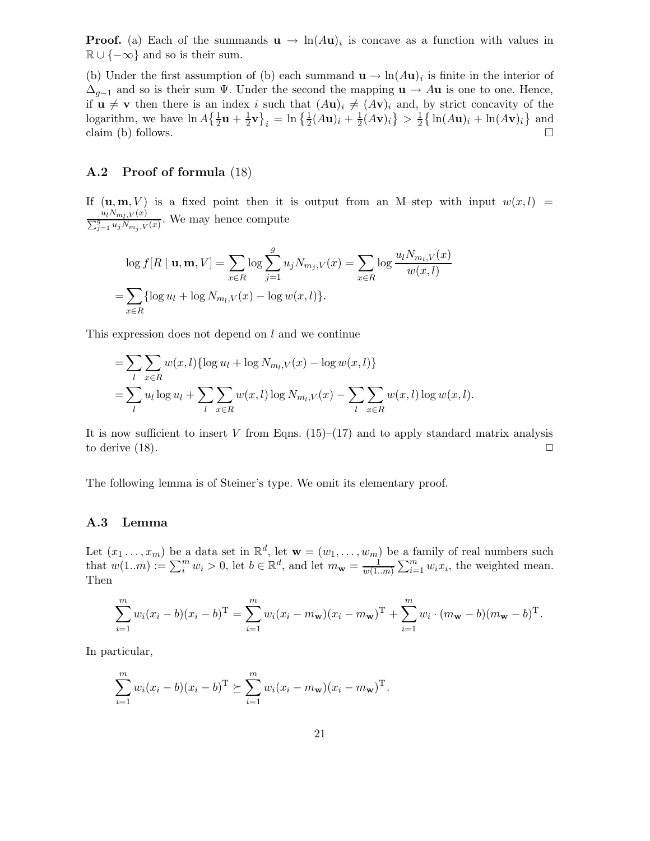**Proof.** (a) Each of the summands  $\mathbf{u} \to \ln(A\mathbf{u})_i$  is concave as a function with values in  $\mathbb{R} \cup \{-\infty\}$  and so is their sum.

(b) Under the first assumption of (b) each summand  $\mathbf{u} \to \ln(A\mathbf{u})_i$  is finite in the interior of  $\Delta_{g-1}$  and so is their sum  $\Psi$ . Under the second the mapping  $\mathbf{u} \to A\mathbf{u}$  is one to one. Hence, if  $u \neq v$  then there is an index i such that  $(Au)_i \neq (Av)_i$  and, by strict concavity of the logarithm, we have  $\ln A \left\{ \frac{1}{2} \mathbf{u} + \frac{1}{2} \right\}$  $\frac{1}{2}\mathbf{v}\big\}_i = \ln \big\{\frac{1}{2}(A\mathbf{u})_i + \frac{1}{2}\big\}$  $\frac{1}{2}(A\mathbf{v})_i\} > \frac{1}{2}$  $\frac{1}{2} \left\{ \ln(A\mathbf{u})_i + \ln(A\mathbf{v})_i \right\}$  and claim (b) follows.  $\Box$ 

#### A.2 Proof of formula (18)

If  $(\mathbf{u}, \mathbf{m}, V)$  is a fixed point then it is output from an M-step with input  $w(x, l)$  =  $\frac{u_l N_{m_l,V}(x)}{\sum_{j=1}^g u_j N_{m_j,V}(x)}$ . We may hence compute

$$
\log f[R | \mathbf{u}, \mathbf{m}, V] = \sum_{x \in R} \log \sum_{j=1}^{g} u_j N_{m_j, V}(x) = \sum_{x \in R} \log \frac{u_l N_{m_l, V}(x)}{w(x, l)}
$$

$$
= \sum_{x \in R} {\log u_l} + \log N_{m_l, V}(x) - \log w(x, l) \}.
$$

This expression does not depend on  $l$  and we continue

$$
= \sum_{l} \sum_{x \in R} w(x, l) \{ \log u_l + \log N_{m_l, V}(x) - \log w(x, l) \}
$$
  
= 
$$
\sum_{l} u_l \log u_l + \sum_{l} \sum_{x \in R} w(x, l) \log N_{m_l, V}(x) - \sum_{l} \sum_{x \in R} w(x, l) \log w(x, l).
$$

It is now sufficient to insert V from Eqns.  $(15)$ – $(17)$  and to apply standard matrix analysis to derive  $(18)$ .

The following lemma is of Steiner's type. We omit its elementary proof.

# A.3 Lemma

Let  $(x_1 \ldots, x_m)$  be a data set in  $\mathbb{R}^d$ , let  $\mathbf{w} = (w_1, \ldots, w_m)$  be a family of real numbers such that  $w(1..m) := \sum_{i=1}^{m} w_i > 0$ , let  $b \in \mathbb{R}^d$ , and let  $m_{\mathbf{w}} = \frac{1}{w(1...n)}$  $\frac{1}{w(1..m)}\sum_{i=1}^m w_i x_i$ , the weighted mean. Then

$$
\sum_{i=1}^{m} w_i (x_i - b)(x_i - b)^{\mathrm{T}} = \sum_{i=1}^{m} w_i (x_i - m_{\mathbf{w}})(x_i - m_{\mathbf{w}})^{\mathrm{T}} + \sum_{i=1}^{m} w_i \cdot (m_{\mathbf{w}} - b)(m_{\mathbf{w}} - b)^{\mathrm{T}}.
$$

In particular,

$$
\sum_{i=1}^{m} w_i (x_i - b)(x_i - b)^{\mathrm{T}} \succeq \sum_{i=1}^{m} w_i (x_i - m_{\mathbf{w}})(x_i - m_{\mathbf{w}})^{\mathrm{T}}.
$$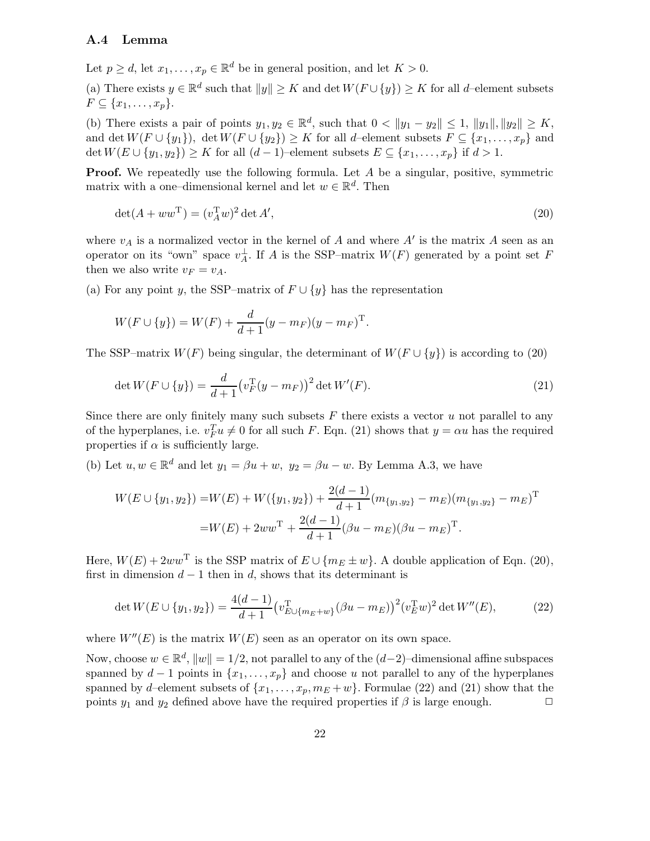#### A.4 Lemma

Let  $p \geq d$ , let  $x_1, \ldots, x_p \in \mathbb{R}^d$  be in general position, and let  $K > 0$ .

(a) There exists  $y \in \mathbb{R}^d$  such that  $||y|| \geq K$  and  $\det W(F \cup \{y\}) \geq K$  for all d–element subsets  $F \subseteq \{x_1, \ldots, x_p\}.$ 

(b) There exists a pair of points  $y_1, y_2 \in \mathbb{R}^d$ , such that  $0 < ||y_1 - y_2|| \le 1$ ,  $||y_1||$ ,  $||y_2|| \ge K$ , and det  $W(F \cup \{y_1\})$ , det  $W(F \cup \{y_2\}) \geq K$  for all d–element subsets  $F \subseteq \{x_1, \ldots, x_p\}$  and  $\det W(E \cup \{y_1, y_2\}) \geq K$  for all  $(d-1)$ –element subsets  $E \subseteq \{x_1, \ldots, x_p\}$  if  $d > 1$ .

**Proof.** We repeatedly use the following formula. Let A be a singular, positive, symmetric matrix with a one-dimensional kernel and let  $w \in \mathbb{R}^d$ . Then

$$
\det(A + wwT) = (vATw)2 \det A',
$$
\n(20)

where  $v_A$  is a normalized vector in the kernel of A and where  $A'$  is the matrix A seen as an operator on its "own" space  $v_A^{\perp}$ . If A is the SSP-matrix  $W(F)$  generated by a point set F then we also write  $v_F = v_A$ .

(a) For any point y, the SSP–matrix of  $F \cup \{y\}$  has the representation

$$
W(F \cup \{y\}) = W(F) + \frac{d}{d+1}(y - m_F)(y - m_F)^{\mathrm{T}}.
$$

The SSP–matrix  $W(F)$  being singular, the determinant of  $W(F \cup \{y\})$  is according to (20)

$$
\det W(F \cup \{y\}) = \frac{d}{d+1} \left(v_F^{\mathrm{T}}(y - m_F)\right)^2 \det W'(F). \tag{21}
$$

Since there are only finitely many such subsets  $F$  there exists a vector  $u$  not parallel to any of the hyperplanes, i.e.  $v_F^T u \neq 0$  for all such F. Eqn. (21) shows that  $y = \alpha u$  has the required properties if  $\alpha$  is sufficiently large.

(b) Let  $u, w \in \mathbb{R}^d$  and let  $y_1 = \beta u + w$ ,  $y_2 = \beta u - w$ . By Lemma A.3, we have

$$
W(E \cup \{y_1, y_2\}) = W(E) + W(\{y_1, y_2\}) + \frac{2(d-1)}{d+1} (m_{\{y_1, y_2\}} - m_E) (m_{\{y_1, y_2\}} - m_E)^{\mathrm{T}}
$$
  
= 
$$
W(E) + 2ww^{\mathrm{T}} + \frac{2(d-1)}{d+1} (\beta u - m_E) (\beta u - m_E)^{\mathrm{T}}.
$$

Here,  $W(E) + 2ww^{\mathrm{T}}$  is the SSP matrix of  $E \cup \{m_E \pm w\}$ . A double application of Eqn. (20), first in dimension  $d-1$  then in d, shows that its determinant is

$$
\det W(E \cup \{y_1, y_2\}) = \frac{4(d-1)}{d+1} \left(v_{E \cup \{m_E + w\}}^{\mathrm{T}} (\beta u - m_E)\right)^2 \left(v_E^{\mathrm{T}} w\right)^2 \det W''(E),\tag{22}
$$

where  $W''(E)$  is the matrix  $W(E)$  seen as an operator on its own space.

Now, choose  $w \in \mathbb{R}^d$ ,  $||w|| = 1/2$ , not parallel to any of the  $(d-2)$ –dimensional affine subspaces spanned by  $d-1$  points in  $\{x_1, \ldots, x_p\}$  and choose u not parallel to any of the hyperplanes spanned by d–element subsets of  $\{x_1, \ldots, x_p, m_E + w\}$ . Formulae (22) and (21) show that the points  $y_1$  and  $y_2$  defined above have the required properties if  $\beta$  is large enough. points  $y_1$  and  $y_2$  defined above have the required properties if  $\beta$  is large enough.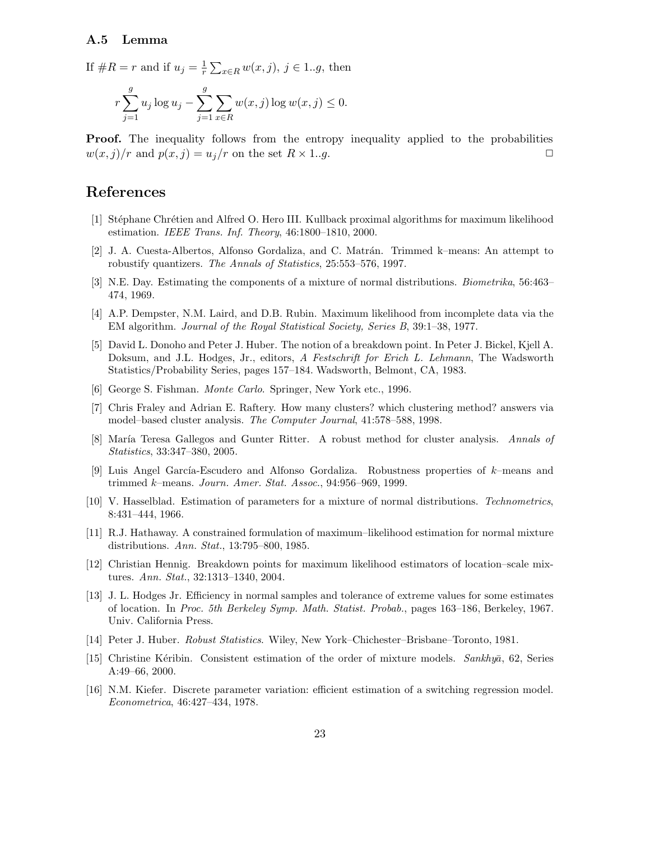#### A.5 Lemma

If  $\#R = r$  and if  $u_j = \frac{1}{r}$  $\frac{1}{r} \sum_{x \in R} w(x, j), \ j \in 1..g$ , then

$$
r \sum_{j=1}^{g} u_j \log u_j - \sum_{j=1}^{g} \sum_{x \in R} w(x, j) \log w(x, j) \le 0.
$$

**Proof.** The inequality follows from the entropy inequality applied to the probabilities  $w(x, j)/r$  and  $p(x, j) = u_j/r$  on the set  $R \times 1..g$ .

# References

- [1] Stéphane Chrétien and Alfred O. Hero III. Kullback proximal algorithms for maximum likelihood estimation. IEEE Trans. Inf. Theory, 46:1800–1810, 2000.
- [2] J. A. Cuesta-Albertos, Alfonso Gordaliza, and C. Matrán. Trimmed k–means: An attempt to robustify quantizers. The Annals of Statistics, 25:553–576, 1997.
- [3] N.E. Day. Estimating the components of a mixture of normal distributions. Biometrika, 56:463– 474, 1969.
- [4] A.P. Dempster, N.M. Laird, and D.B. Rubin. Maximum likelihood from incomplete data via the EM algorithm. Journal of the Royal Statistical Society, Series B, 39:1–38, 1977.
- [5] David L. Donoho and Peter J. Huber. The notion of a breakdown point. In Peter J. Bickel, Kjell A. Doksum, and J.L. Hodges, Jr., editors, A Festschrift for Erich L. Lehmann, The Wadsworth Statistics/Probability Series, pages 157–184. Wadsworth, Belmont, CA, 1983.
- [6] George S. Fishman. Monte Carlo. Springer, New York etc., 1996.
- [7] Chris Fraley and Adrian E. Raftery. How many clusters? which clustering method? answers via model–based cluster analysis. The Computer Journal, 41:578–588, 1998.
- [8] María Teresa Gallegos and Gunter Ritter. A robust method for cluster analysis. Annals of Statistics, 33:347–380, 2005.
- [9] Luis Angel García-Escudero and Alfonso Gordaliza. Robustness properties of  $k$ –means and trimmed k–means. Journ. Amer. Stat. Assoc., 94:956–969, 1999.
- [10] V. Hasselblad. Estimation of parameters for a mixture of normal distributions. Technometrics, 8:431–444, 1966.
- [11] R.J. Hathaway. A constrained formulation of maximum–likelihood estimation for normal mixture distributions. Ann. Stat., 13:795–800, 1985.
- [12] Christian Hennig. Breakdown points for maximum likelihood estimators of location–scale mixtures. Ann. Stat., 32:1313–1340, 2004.
- [13] J. L. Hodges Jr. Efficiency in normal samples and tolerance of extreme values for some estimates of location. In Proc. 5th Berkeley Symp. Math. Statist. Probab., pages 163–186, Berkeley, 1967. Univ. California Press.
- [14] Peter J. Huber. Robust Statistics. Wiley, New York–Chichester–Brisbane–Toronto, 1981.
- [15] Christine Kéribin. Consistent estimation of the order of mixture models. Sankhya, 62, Series A:49–66, 2000.
- [16] N.M. Kiefer. Discrete parameter variation: efficient estimation of a switching regression model. Econometrica, 46:427–434, 1978.